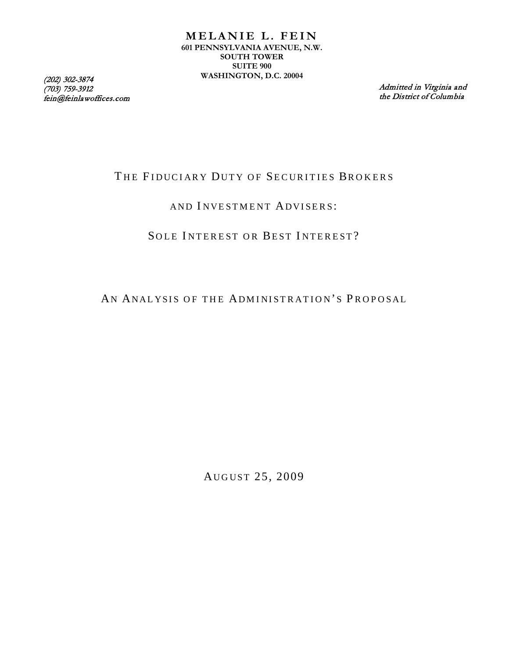(703) 759-3912 fein@feinlawoffices.com

Admitted in Virginia and the District of Columbia

# THE FIDUCIARY DUTY OF SECURITIES BROKERS

## AND INVESTMENT ADVISERS:

# SOLE INTEREST OR BEST INTEREST?

AN ANALYSIS OF THE ADMINISTRATION'S PROPOSAL

AUGUST 25, 2009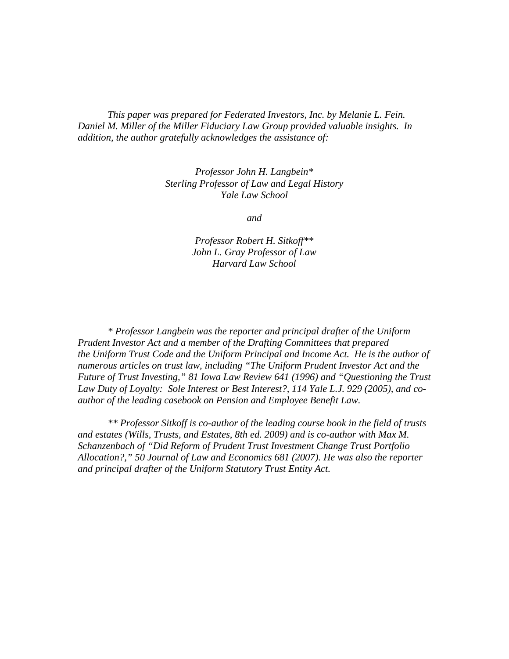*This paper was prepared for Federated Investors, Inc. by Melanie L. Fein. Daniel M. Miller of the Miller Fiduciary Law Group provided valuable insights. In addition, the author gratefully acknowledges the assistance of:*

> *Professor John H. Langbein\* Sterling Professor of Law and Legal History Yale Law School*

> > *and*

*Professor Robert H. Sitkoff\*\* John L. Gray Professor of Law Harvard Law School*

*\* Professor Langbein was the reporter and principal drafter of the Uniform Prudent Investor Act and a member of the Drafting Committees that prepared the Uniform Trust Code and the Uniform Principal and Income Act. He is the author of numerous articles on trust law, including "The Uniform Prudent Investor Act and the Future of Trust Investing," 81 Iowa Law Review 641 (1996) and "Questioning the Trust Law Duty of Loyalty: Sole Interest or Best Interest?, 114 Yale L.J. 929 (2005), and coauthor of the leading casebook on Pension and Employee Benefit Law.*

*\*\* Professor Sitkoff is co-author of the leading course book in the field of trusts and estates (Wills, Trusts, and Estates, 8th ed. 2009) and is co-author with Max M. Schanzenbach of "Did Reform of Prudent Trust Investment Change Trust Portfolio Allocation?," 50 Journal of Law and Economics 681 (2007). He was also the reporter and principal drafter of the Uniform Statutory Trust Entity Act.*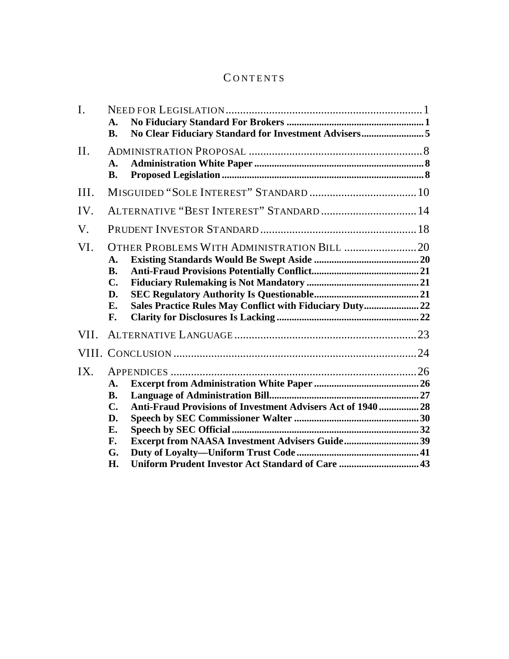# C ONTENTS

| I.          | $\mathbf{A}$ .<br><b>B.</b>                                     | No Clear Fiduciary Standard for Investment Advisers5                                                           |  |
|-------------|-----------------------------------------------------------------|----------------------------------------------------------------------------------------------------------------|--|
| II.         | A.<br><b>B.</b>                                                 |                                                                                                                |  |
| III.        |                                                                 |                                                                                                                |  |
| IV.         |                                                                 | ALTERNATIVE "BEST INTEREST" STANDARD  14                                                                       |  |
| $V_{\cdot}$ |                                                                 |                                                                                                                |  |
| VI.         | $\mathbf{A}$ .<br><b>B.</b><br>$\mathbf{C}$ .<br>D.<br>E.<br>F. | Sales Practice Rules May Conflict with Fiduciary Duty 22                                                       |  |
| VII.        |                                                                 |                                                                                                                |  |
|             |                                                                 |                                                                                                                |  |
| IX.         | A.<br><b>B.</b><br>$\mathbf{C}$ .<br>D.<br>E.<br>F.<br>G.       | Anti-Fraud Provisions of Investment Advisers Act of 1940  28<br>Excerpt from NAASA Investment Advisers Guide39 |  |
|             | H.                                                              | Uniform Prudent Investor Act Standard of Care  43                                                              |  |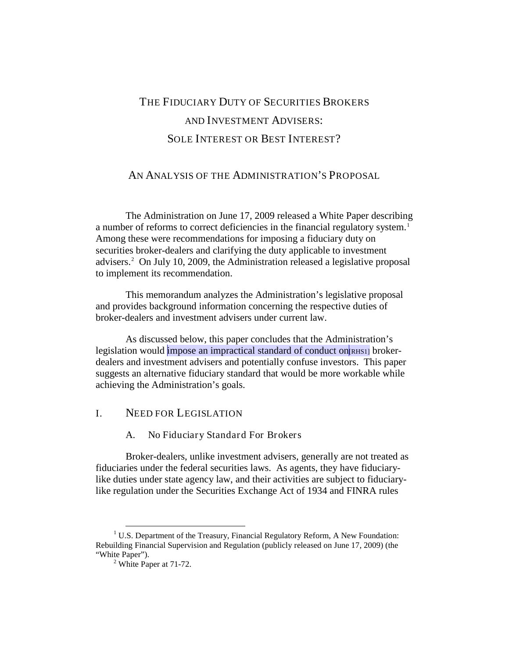# THE FIDUCIARY DUTY OF SECURITIES BROKERS AND INVESTMENT ADVISERS: SOLE INTEREST OR BEST INTEREST?

## AN ANALYSIS OF THE ADMINISTRATION'S PROPOSAL

The Administration on June 17, 2009 released a White Paper describing a number of reforms to correct deficiencies in the financial regulatory system.<sup>[1](#page-3-2)</sup> Among these were recommendations for imposing a fiduciary duty on securities broker-dealers and clarifying the duty applicable to investment advisers.[2](#page-3-3) On July 10, 2009, the Administration released a legislative proposal to implement its recommendation.

This memorandum analyzes the Administration's legislative proposal and provides background information concerning the respective duties of broker-dealers and investment advisers under current law.

As discussed below, this paper concludes that the Administration's legislation would impose an impractical standard of conduct on  $\lceil R_H \rceil$  brokerdealers and investment advisers and potentially confuse investors. This paper suggests an alternative fiduciary standard that would be more workable while achieving the Administration's goals.

## <span id="page-3-1"></span><span id="page-3-0"></span>I. NEED FOR LEGISLATION

#### A. No Fiduciary Standard For Brokers

Broker-dealers, unlike investment advisers, generally are not treated as fiduciaries under the federal securities laws. As agents, they have fiduciarylike duties under state agency law, and their activities are subject to fiduciarylike regulation under the Securities Exchange Act of 1934 and FINRA rules

<span id="page-3-3"></span><span id="page-3-2"></span> $1 \text{ U.S. Department of the Treasury, Financial Regularory Reform, A New Foundation: }$ Rebuilding Financial Supervision and Regulation (publicly released on June 17, 2009) (the

 $<sup>2</sup>$  White Paper at 71-72.</sup>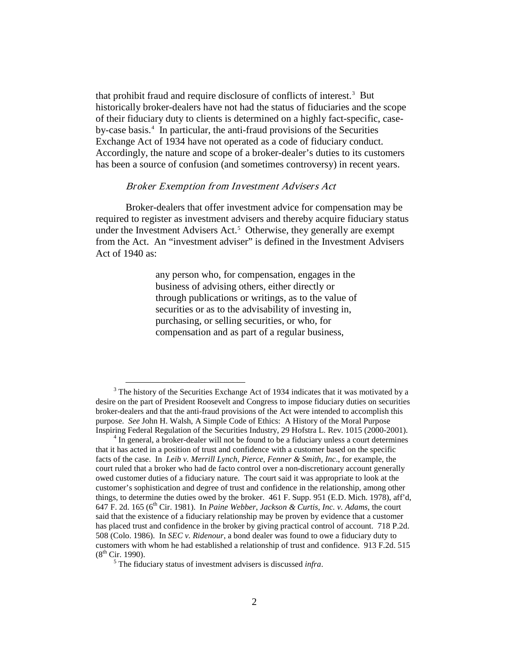that prohibit fraud and require disclosure of conflicts of interest.<sup>[3](#page-4-0)</sup> But historically broker-dealers have not had the status of fiduciaries and the scope of their fiduciary duty to clients is determined on a highly fact-specific, case-by-case basis.<sup>[4](#page-4-1)</sup> In particular, the anti-fraud provisions of the Securities Exchange Act of 1934 have not operated as a code of fiduciary conduct. Accordingly, the nature and scope of a broker-dealer's duties to its customers has been a source of confusion (and sometimes controversy) in recent years.

#### Broker Exemption from Investment Advisers Act

Broker-dealers that offer investment advice for compensation may be required to register as investment advisers and thereby acquire fiduciary status under the Investment Advisers Act.<sup>[5](#page-4-2)</sup> Otherwise, they generally are exempt from the Act. An "investment adviser" is defined in the Investment Advisers Act of 1940 as:

> any person who, for compensation, engages in the business of advising others, either directly or through publications or writings, as to the value of securities or as to the advisability of investing in, purchasing, or selling securities, or who, for compensation and as part of a regular business,

<span id="page-4-0"></span><sup>&</sup>lt;sup>3</sup> The history of the Securities Exchange Act of 1934 indicates that it was motivated by a desire on the part of President Roosevelt and Congress to impose fiduciary duties on securities broker-dealers and that the anti-fraud provisions of the Act were intended to accomplish this purpose. *See* John H. Walsh, A Simple Code of Ethics: A History of the Moral Purpose Inspiring Federal Regulation of the Securities Industry, 29 Hofstra L. Rev. 1015 (2000-2001). <sup>4</sup> In general, a broker-dealer will not be found to be a fiduciary unless a court determines

<span id="page-4-1"></span>that it has acted in a position of trust and confidence with a customer based on the specific facts of the case. In *Leib v. Merrill Lynch, Pierce, Fenner & Smith, Inc*., for example, the court ruled that a broker who had de facto control over a non-discretionary account generally owed customer duties of a fiduciary nature. The court said it was appropriate to look at the customer's sophistication and degree of trust and confidence in the relationship, among other things, to determine the duties owed by the broker. 461 F. Supp. 951 (E.D. Mich. 1978), aff'd, 647 F. 2d. 165 ( $6<sup>th</sup>$  Cir. 1981). In *Paine Webber, Jackson & Curtis, Inc. v. Adams*, the court said that the existence of a fiduciary relationship may be proven by evidence that a customer has placed trust and confidence in the broker by giving practical control of account. 718 P.2d. 508 (Colo. 1986). In *SEC v. Ridenour*, a bond dealer was found to owe a fiduciary duty to customers with whom he had established a relationship of trust and confidence. 913 F.2d. 515  $(8^{th}$  Cir. 1990).

<span id="page-4-2"></span><sup>5</sup> The fiduciary status of investment advisers is discussed *infra*.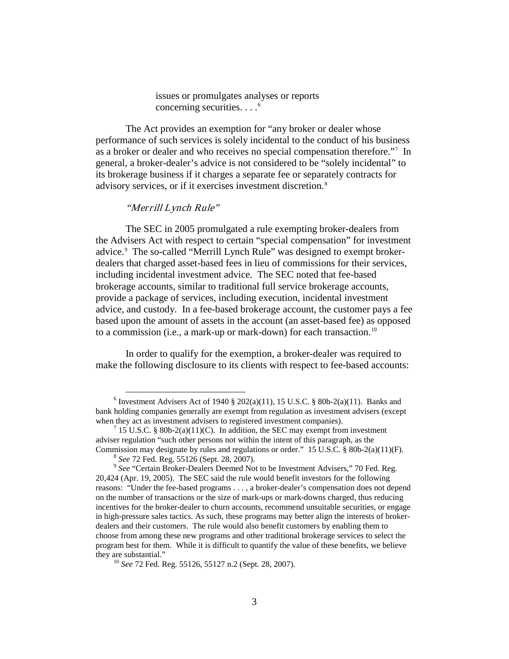issues or promulgates analyses or reports concerning securities.  $\ldots$ <sup>[6](#page-5-0)</sup>

The Act provides an exemption for "any broker or dealer whose performance of such services is solely incidental to the conduct of his business as a broker or dealer and who receives no special compensation therefore."[7](#page-5-1) In general, a broker-dealer's advice is not considered to be "solely incidental" to its brokerage business if it charges a separate fee or separately contracts for advisory services, or if it exercises investment discretion.[8](#page-5-2)

## "Merrill Lynch Rule"

The SEC in 2005 promulgated a rule exempting broker-dealers from the Advisers Act with respect to certain "special compensation" for investment advice.<sup>[9](#page-5-3)</sup> The so-called "Merrill Lynch Rule" was designed to exempt brokerdealers that charged asset-based fees in lieu of commissions for their services, including incidental investment advice. The SEC noted that fee-based brokerage accounts, similar to traditional full service brokerage accounts, provide a package of services, including execution, incidental investment advice, and custody. In a fee-based brokerage account, the customer pays a fee based upon the amount of assets in the account (an asset-based fee) as opposed to a commission (i.e., a mark-up or mark-down) for each transaction.<sup>[10](#page-5-4)</sup>

In order to qualify for the exemption, a broker-dealer was required to make the following disclosure to its clients with respect to fee-based accounts:

<span id="page-5-0"></span> $6$  Investment Advisers Act of 1940 § 202(a)(11), 15 U.S.C. § 80b-2(a)(11). Banks and bank holding companies generally are exempt from regulation as investment advisers (except

<span id="page-5-1"></span><sup>&</sup>lt;sup>7</sup> 15 U.S.C. § 80b-2(a)(11)(C). In addition, the SEC may exempt from investment adviser regulation "such other persons not within the intent of this paragraph, as the Commission may designate by rules and regulations or order." 15 U.S.C.  $\S$  80b-2(a)(11)(F).

<span id="page-5-3"></span><span id="page-5-2"></span> $^8$  See 72 Fed. Reg. 55126 (Sept. 28, 2007).<br> $^9$  See "Certain Broker-Dealers Deemed Not to be Investment Advisers," 70 Fed. Reg. 20,424 (Apr. 19, 2005). The SEC said the rule would benefit investors for the following reasons: "Under the fee-based programs . . . , a broker-dealer's compensation does not depend on the number of transactions or the size of mark-ups or mark-downs charged, thus reducing incentives for the broker-dealer to churn accounts, recommend unsuitable securities, or engage in high-pressure sales tactics. As such, these programs may better align the interests of brokerdealers and their customers. The rule would also benefit customers by enabling them to choose from among these new programs and other traditional brokerage services to select the program best for them. While it is difficult to quantify the value of these benefits, we believe

<span id="page-5-4"></span><sup>&</sup>lt;sup>10</sup> *See* 72 Fed. Reg. 55126, 55127 n.2 (Sept. 28, 2007).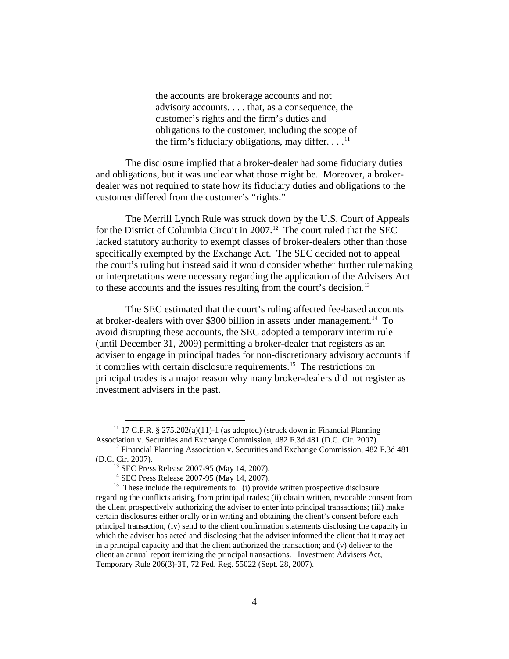the accounts are brokerage accounts and not advisory accounts. . . . that, as a consequence, the customer's rights and the firm's duties and obligations to the customer, including the scope of the firm's fiduciary obligations, may differ.  $\dots$ <sup>[11](#page-6-0)</sup>

The disclosure implied that a broker-dealer had some fiduciary duties and obligations, but it was unclear what those might be. Moreover, a brokerdealer was not required to state how its fiduciary duties and obligations to the customer differed from the customer's "rights."

The Merrill Lynch Rule was struck down by the U.S. Court of Appeals for the District of Columbia Circuit in 2007.<sup>12</sup> The court ruled that the SEC lacked statutory authority to exempt classes of broker-dealers other than those specifically exempted by the Exchange Act. The SEC decided not to appeal the court's ruling but instead said it would consider whether further rulemaking or interpretations were necessary regarding the application of the Advisers Act to these accounts and the issues resulting from the court's decision.<sup>[13](#page-6-2)</sup>

The SEC estimated that the court's ruling affected fee-based accounts at broker-dealers with over \$300 billion in assets under management. [14](#page-6-3) To avoid disrupting these accounts, the SEC adopted a temporary interim rule (until December 31, 2009) permitting a broker-dealer that registers as an adviser to engage in principal trades for non-discretionary advisory accounts if it complies with certain disclosure requirements. [15](#page-6-4) The restrictions on principal trades is a major reason why many broker-dealers did not register as investment advisers in the past.

<span id="page-6-0"></span><sup>&</sup>lt;sup>11</sup> 17 C.F.R. § 275.202(a)(11)-1 (as adopted) (struck down in Financial Planning Association v. Securities and Exchange Commission, 482 F.3d 481 (D.C. Cir. 2007).

<span id="page-6-1"></span><sup>&</sup>lt;sup>12</sup> Financial Planning Association v. Securities and Exchange Commission, 482 F.3d 481 (D.C. Cir. 2007).

<span id="page-6-4"></span><span id="page-6-3"></span><span id="page-6-2"></span><sup>&</sup>lt;sup>13</sup> SEC Press Release 2007-95 (May 14, 2007).<br><sup>14</sup> SEC Press Release 2007-95 (May 14, 2007).<br><sup>15</sup> These include the requirements to: (i) provide written prospective disclosure regarding the conflicts arising from principal trades; (ii) obtain written, revocable consent from the client prospectively authorizing the adviser to enter into principal transactions; (iii) make certain disclosures either orally or in writing and obtaining the client's consent before each principal transaction; (iv) send to the client confirmation statements disclosing the capacity in which the adviser has acted and disclosing that the adviser informed the client that it may act in a principal capacity and that the client authorized the transaction; and (v) deliver to the client an annual report itemizing the principal transactions. Investment Advisers Act, Temporary Rule 206(3)-3T, 72 Fed. Reg. 55022 (Sept. 28, 2007).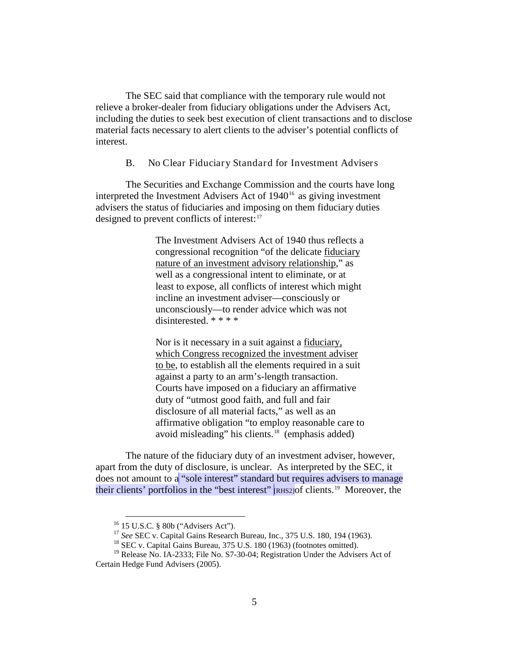The SEC said that compliance with the temporary rule would not relieve a broker-dealer from fiduciary obligations under the Advisers Act, including the duties to seek best execution of client transactions and to disclose material facts necessary to alert clients to the adviser's potential conflicts of interest.

<span id="page-7-0"></span>B. No Clear Fiduciary Standard for Investment Advisers

The Securities and Exchange Commission and the courts have long interpreted the Investment Advisers Act of 1940<sup>[16](#page-7-1)</sup> as giving investment advisers the status of fiduciaries and imposing on them fiduciary duties designed to prevent conflicts of interest:<sup>[17](#page-7-2)</sup>

> The Investment Advisers Act of 1940 thus reflects a congressional recognition "of the delicate **fiduciary** nature of an investment advisory relationship," as well as a congressional intent to eliminate, or at least to expose, all conflicts of interest which might incline an investment adviser—consciously or unconsciously—to render advice which was not disinterested. \* \* \* \*

> Nor is it necessary in a suit against a **fiduciary**, which Congress recognized the investment adviser to be, to establish all the elements required in a suit against a party to an arm's-length transaction. Courts have imposed on a fiduciary an affirmative duty of "utmost good faith, and full and fair disclosure of all material facts," as well as an affirmative obligation "to employ reasonable care to avoid misleading" his clients.<sup>[18](#page-7-3)</sup> (emphasis added)

The nature of the fiduciary duty of an investment adviser, however, apart from the duty of disclosure, is unclear. As interpreted by the SEC, it does not amount to a "sole interest" standard but requires advisers to manage their clients' portfolios in the "best interest" **RHS2** [Of clients.<sup>[19](#page-7-4)</sup> Moreover, the

<sup>&</sup>lt;sup>16</sup> 15 U.S.C. § 80b ("Advisers Act").<br><sup>17</sup> *See* SEC v. Capital Gains Research Bureau, Inc., 375 U.S. 180, 194 (1963).

<sup>&</sup>lt;sup>18</sup> SEC v. Capital Gains Bureau, 375 U.S. 180 (1963) (footnotes omitted).

<span id="page-7-4"></span><span id="page-7-3"></span><span id="page-7-2"></span><span id="page-7-1"></span><sup>&</sup>lt;sup>19</sup> Release No. IA-2333; File No. S7-30-04; Registration Under the Advisers Act of Certain Hedge Fund Advisers (2005).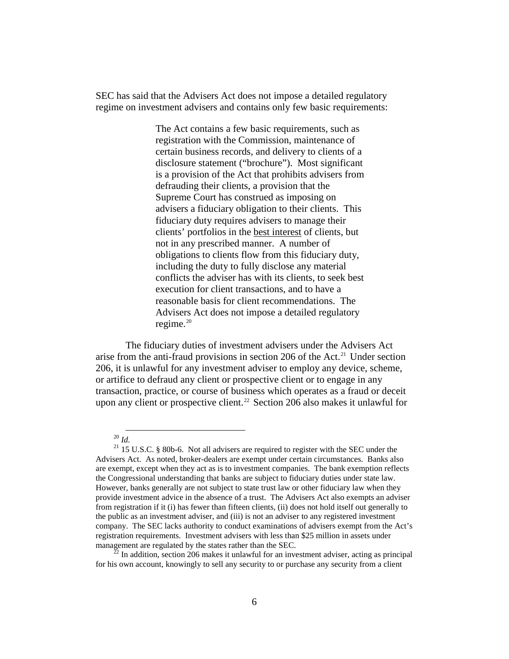SEC has said that the Advisers Act does not impose a detailed regulatory regime on investment advisers and contains only few basic requirements:

> The Act contains a few basic requirements, such as registration with the Commission, maintenance of certain business records, and delivery to clients of a disclosure statement ("brochure"). Most significant is a provision of the Act that prohibits advisers from defrauding their clients, a provision that the Supreme Court has construed as imposing on advisers a fiduciary obligation to their clients. This fiduciary duty requires advisers to manage their clients' portfolios in the best interest of clients, but not in any prescribed manner. A number of obligations to clients flow from this fiduciary duty, including the duty to fully disclose any material conflicts the adviser has with its clients, to seek best execution for client transactions, and to have a reasonable basis for client recommendations. The Advisers Act does not impose a detailed regulatory regime. $20$

The fiduciary duties of investment advisers under the Advisers Act arise from the anti-fraud provisions in section 206 of the Act. [21](#page-8-1) Under section 206, it is unlawful for any investment adviser to employ any device, scheme, or artifice to defraud any client or prospective client or to engage in any transaction, practice, or course of business which operates as a fraud or deceit upon any client or prospective client.<sup>[22](#page-8-2)</sup> Section 206 also makes it unlawful for

 <sup>20</sup> *Id.*

<span id="page-8-1"></span><span id="page-8-0"></span> $21$  15 U.S.C. § 80b-6. Not all advisers are required to register with the SEC under the Advisers Act. As noted, broker-dealers are exempt under certain circumstances. Banks also are exempt, except when they act as is to investment companies. The bank exemption reflects the Congressional understanding that banks are subject to fiduciary duties under state law. However, banks generally are not subject to state trust law or other fiduciary law when they provide investment advice in the absence of a trust. The Advisers Act also exempts an adviser from registration if it (i) has fewer than fifteen clients, (ii) does not hold itself out generally to the public as an investment adviser, and (iii) is not an adviser to any registered investment company. The SEC lacks authority to conduct examinations of advisers exempt from the Act's registration requirements. Investment advisers with less than \$25 million in assets under management are regulated by the states rather than the SEC.<br><sup>22</sup> In addition, section 206 makes it unlawful for an investment adviser, acting as principal

<span id="page-8-2"></span>for his own account, knowingly to sell any security to or purchase any security from a client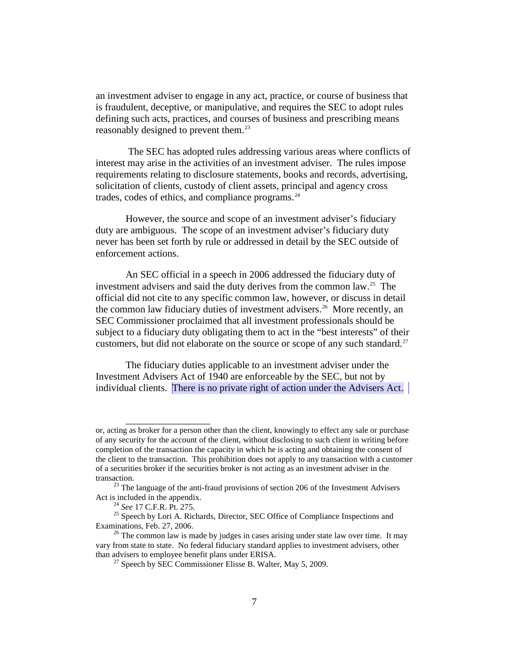an investment adviser to engage in any act, practice, or course of business that is fraudulent, deceptive, or manipulative, and requires the SEC to adopt rules defining such acts, practices, and courses of business and prescribing means reasonably designed to prevent them.<sup>[23](#page-9-0)</sup>

The SEC has adopted rules addressing various areas where conflicts of interest may arise in the activities of an investment adviser. The rules impose requirements relating to disclosure statements, books and records, advertising, solicitation of clients, custody of client assets, principal and agency cross trades, codes of ethics, and compliance programs. [24](#page-9-1)

However, the source and scope of an investment adviser's fiduciary duty are ambiguous. The scope of an investment adviser's fiduciary duty never has been set forth by rule or addressed in detail by the SEC outside of enforcement actions.

An SEC official in a speech in 2006 addressed the fiduciary duty of investment advisers and said the duty derives from the common law.<sup>25</sup> The official did not cite to any specific common law, however, or discuss in detail the common law fiduciary duties of investment advisers.<sup>[26](#page-9-3)</sup> More recently, an SEC Commissioner proclaimed that all investment professionals should be subject to a fiduciary duty obligating them to act in the "best interests" of their customers, but did not elaborate on the source or scope of any such standard.<sup>[27](#page-9-4)</sup>

The fiduciary duties applicable to an investment adviser under the Investment Advisers Act of 1940 are enforceable by the SEC, but not by individual clients. There is no private right of action under the Advisers Act.

\_\_\_\_\_\_\_\_\_\_\_\_\_\_\_\_\_

or, acting as broker for a person other than the client, knowingly to effect any sale or purchase of any security for the account of the client, without disclosing to such client in writing before completion of the transaction the capacity in which he is acting and obtaining the consent of the client to the transaction. This prohibition does not apply to any transaction with a customer of a securities broker if the securities broker is not acting as an investment adviser in the

<span id="page-9-0"></span>transaction.<br><sup>23</sup> The language of the anti-fraud provisions of section 206 of the Investment Advisers<br>Act is included in the appendix.

<span id="page-9-2"></span><span id="page-9-1"></span><sup>&</sup>lt;sup>24</sup> *See* 17 C.F.R. Pt. 275. <sup>25</sup> Speech by Lori A. Richards, Director, SEC Office of Compliance Inspections and Examinations, Feb. 27, 2006.

<span id="page-9-4"></span><span id="page-9-3"></span> $26$  The common law is made by judges in cases arising under state law over time. It may vary from state to state. No federal fiduciary standard applies to investment advisers, other

<sup>&</sup>lt;sup>27</sup> Speech by SEC Commissioner Elisse B. Walter, May 5, 2009.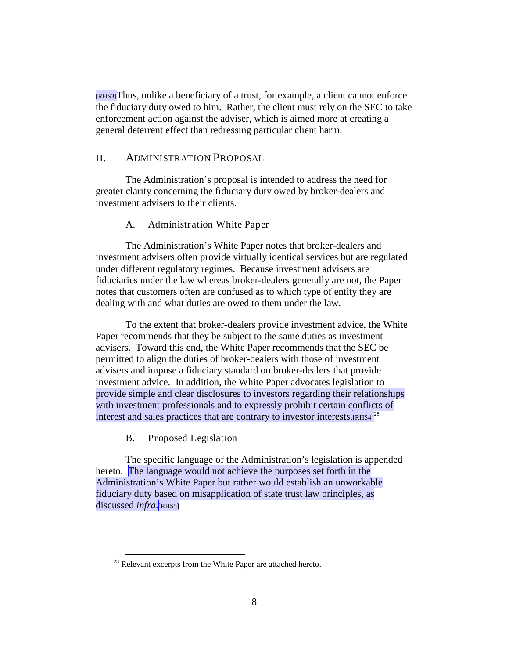[RHS3]Thus, unlike a beneficiary of a trust, for example, a client cannot enforce the fiduciary duty owed to him. Rather, the client must rely on the SEC to take enforcement action against the adviser, which is aimed more at creating a general deterrent effect than redressing particular client harm.

## <span id="page-10-0"></span>II. ADMINISTRATION PROPOSAL

<span id="page-10-1"></span>The Administration's proposal is intended to address the need for greater clarity concerning the fiduciary duty owed by broker-dealers and investment advisers to their clients.

#### A. Administration White Paper

The Administration's White Paper notes that broker-dealers and investment advisers often provide virtually identical services but are regulated under different regulatory regimes. Because investment advisers are fiduciaries under the law whereas broker-dealers generally are not, the Paper notes that customers often are confused as to which type of entity they are dealing with and what duties are owed to them under the law.

To the extent that broker-dealers provide investment advice, the White Paper recommends that they be subject to the same duties as investment advisers. Toward this end, the White Paper recommends that the SEC be permitted to align the duties of broker-dealers with those of investment advisers and impose a fiduciary standard on broker-dealers that provide investment advice. In addition, the White Paper advocates legislation to provide simple and clear disclosures to investors regarding their relationships with investment professionals and to expressly prohibit certain conflicts of interest and sales practices that are contrary to investor interests.<sup>[RHS4]<sup>[28](#page-10-3)</sup></sup>

<span id="page-10-2"></span>B. Proposed Legislation

The specific language of the Administration's legislation is appended hereto. The language would not achieve the purposes set forth in the Administration's White Paper but rather would establish an unworkable fiduciary duty based on misapplication of state trust law principles, as discussed *infra*.[RHS5]

<span id="page-10-3"></span><sup>&</sup>lt;sup>28</sup> Relevant excerpts from the White Paper are attached hereto.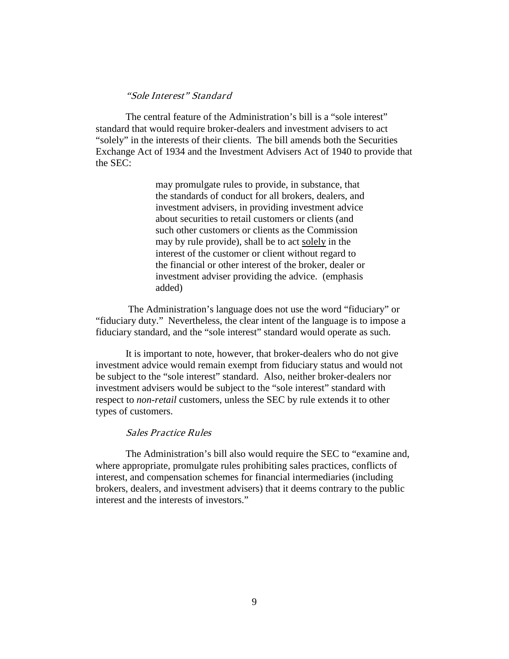## "Sole Interest" Standard

The central feature of the Administration's bill is a "sole interest" standard that would require broker-dealers and investment advisers to act "solely" in the interests of their clients. The bill amends both the Securities Exchange Act of 1934 and the Investment Advisers Act of 1940 to provide that the SEC:

> may promulgate rules to provide, in substance, that the standards of conduct for all brokers, dealers, and investment advisers, in providing investment advice about securities to retail customers or clients (and such other customers or clients as the Commission may by rule provide), shall be to act solely in the interest of the customer or client without regard to the financial or other interest of the broker, dealer or investment adviser providing the advice. (emphasis added)

The Administration's language does not use the word "fiduciary" or "fiduciary duty." Nevertheless, the clear intent of the language is to impose a fiduciary standard, and the "sole interest" standard would operate as such.

It is important to note, however, that broker-dealers who do not give investment advice would remain exempt from fiduciary status and would not be subject to the "sole interest" standard. Also, neither broker-dealers nor investment advisers would be subject to the "sole interest" standard with respect to *non-retail* customers, unless the SEC by rule extends it to other types of customers.

#### Sales Practice Rules

The Administration's bill also would require the SEC to "examine and, where appropriate, promulgate rules prohibiting sales practices, conflicts of interest, and compensation schemes for financial intermediaries (including brokers, dealers, and investment advisers) that it deems contrary to the public interest and the interests of investors."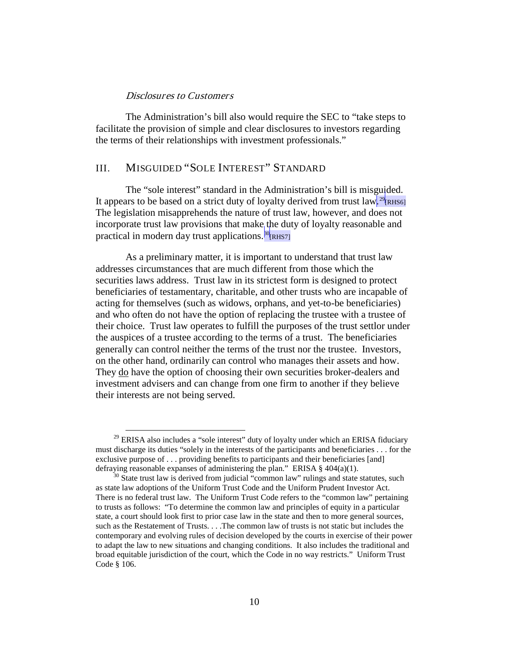#### Disclosures to Customers

The Administration's bill also would require the SEC to "take steps to facilitate the provision of simple and clear disclosures to investors regarding the terms of their relationships with investment professionals."

## <span id="page-12-0"></span>III. MISGUIDED "SOLE INTEREST" STANDARD

The "sole interest" standard in the Administration's bill is misguided. It appears to be based on a strict duty of loyalty derived from trust law.<sup>[29](#page-12-1)</sup>[RHS6] The legislation misapprehends the nature of trust law, however, and does not incorporate trust law provisions that make the duty of loyalty reasonable and practical in modern day trust applications.<sup>[30](#page-12-2)</sup>[RHS7]

As a preliminary matter, it is important to understand that trust law addresses circumstances that are much different from those which the securities laws address. Trust law in its strictest form is designed to protect beneficiaries of testamentary, charitable, and other trusts who are incapable of acting for themselves (such as widows, orphans, and yet-to-be beneficiaries) and who often do not have the option of replacing the trustee with a trustee of their choice. Trust law operates to fulfill the purposes of the trust settlor under the auspices of a trustee according to the terms of a trust. The beneficiaries generally can control neither the terms of the trust nor the trustee. Investors, on the other hand, ordinarily can control who manages their assets and how. They do have the option of choosing their own securities broker-dealers and investment advisers and can change from one firm to another if they believe their interests are not being served.

<span id="page-12-1"></span> $29$  ERISA also includes a "sole interest" duty of loyalty under which an ERISA fiduciary must discharge its duties "solely in the interests of the participants and beneficiaries . . . for the exclusive purpose of . . . providing benefits to participants and their beneficiaries [and] defraying reasonable expanses of administering the plan." ERISA  $\S$  404(a)(1).

<span id="page-12-2"></span> $30$  State trust law is derived from judicial "common law" rulings and state statutes, such as state law adoptions of the Uniform Trust Code and the Uniform Prudent Investor Act. There is no federal trust law. The Uniform Trust Code refers to the "common law" pertaining to trusts as follows: "To determine the common law and principles of equity in a particular state, a court should look first to prior case law in the state and then to more general sources, such as the Restatement of Trusts. . . .The common law of trusts is not static but includes the contemporary and evolving rules of decision developed by the courts in exercise of their power to adapt the law to new situations and changing conditions. It also includes the traditional and broad equitable jurisdiction of the court, which the Code in no way restricts." Uniform Trust Code § 106.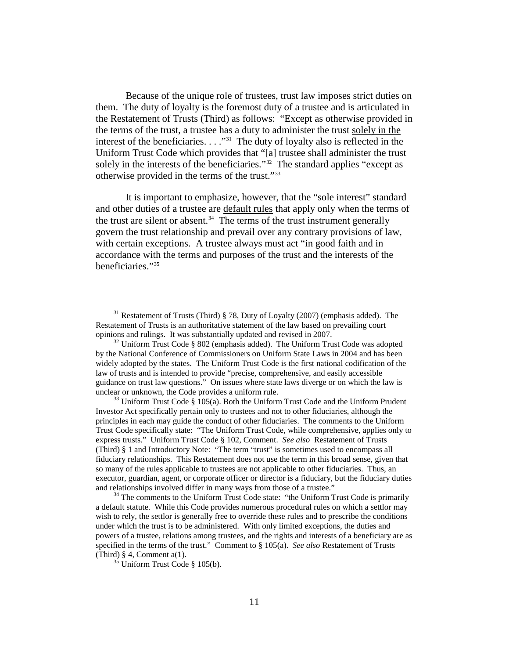Because of the unique role of trustees, trust law imposes strict duties on them. The duty of loyalty is the foremost duty of a trustee and is articulated in the Restatement of Trusts (Third) as follows: "Except as otherwise provided in the terms of the trust, a trustee has a duty to administer the trust solely in the interest of the beneficiaries.  $\ldots$ <sup>31</sup> The duty of loyalty also is reflected in the Uniform Trust Code which provides that "[a] trustee shall administer the trust solely in the interests of the beneficiaries."<sup>[32](#page-13-1)</sup> The standard applies "except as otherwise provided in the terms of the trust."[33](#page-13-2)

It is important to emphasize, however, that the "sole interest" standard and other duties of a trustee are default rules that apply only when the terms of the trust are silent or absent. $34$  The terms of the trust instrument generally govern the trust relationship and prevail over any contrary provisions of law, with certain exceptions. A trustee always must act "in good faith and in accordance with the terms and purposes of the trust and the interests of the beneficiaries."[35](#page-13-4)

<span id="page-13-2"></span>Investor Act specifically pertain only to trustees and not to other fiduciaries, although the principles in each may guide the conduct of other fiduciaries. The comments to the Uniform Trust Code specifically state: "The Uniform Trust Code, while comprehensive, applies only to express trusts." Uniform Trust Code § 102, Comment. *See also* Restatement of Trusts (Third) § 1 and Introductory Note: "The term "trust" is sometimes used to encompass all fiduciary relationships. This Restatement does not use the term in this broad sense, given that so many of the rules applicable to trustees are not applicable to other fiduciaries. Thus, an executor, guardian, agent, or corporate officer or director is a fiduciary, but the fiduciary duties and relationships involved differ in many ways from those of a trustee."<br><sup>34</sup> The comments to the Uniform Trust Code state: "the Uniform Trust Code is primarily

<span id="page-13-3"></span>a default statute. While this Code provides numerous procedural rules on which a settlor may wish to rely, the settlor is generally free to override these rules and to prescribe the conditions under which the trust is to be administered. With only limited exceptions, the duties and powers of a trustee, relations among trustees, and the rights and interests of a beneficiary are as specified in the terms of the trust." Comment to § 105(a). *See also* Restatement of Trusts (Third) § 4, Comment a(1).

<span id="page-13-0"></span><sup>&</sup>lt;sup>31</sup> Restatement of Trusts (Third) § 78, Duty of Loyalty (2007) (emphasis added). The Restatement of Trusts is an authoritative statement of the law based on prevailing court opinions and rulings. It was substantially updated and revised in 2007.

<span id="page-13-1"></span> $32$  Uniform Trust Code § 802 (emphasis added). The Uniform Trust Code was adopted by the National Conference of Commissioners on Uniform State Laws in 2004 and has been widely adopted by the states. The Uniform Trust Code is the first national codification of the law of trusts and is intended to provide "precise, comprehensive, and easily accessible guidance on trust law questions." On issues where state laws diverge or on which the law is unclear or unknown, the Code provides a uniform rule.<br><sup>33</sup> Uniform Trust Code § 105(a). Both the Uniform Trust Code and the Uniform Prudent

<span id="page-13-4"></span> $35$  Uniform Trust Code § 105(b).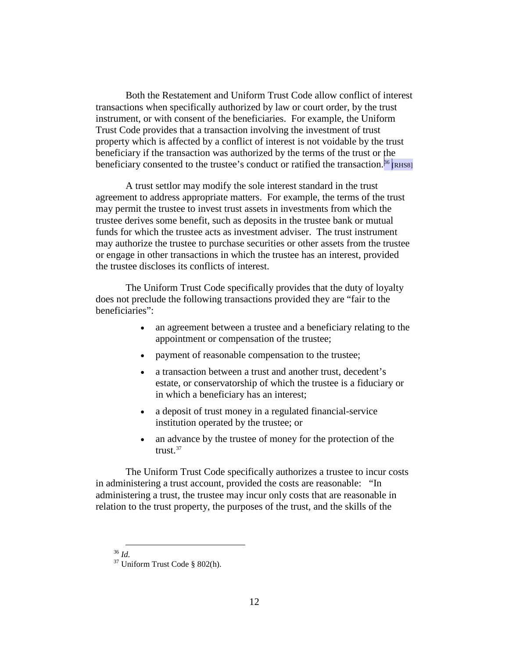Both the Restatement and Uniform Trust Code allow conflict of interest transactions when specifically authorized by law or court order, by the trust instrument, or with consent of the beneficiaries. For example, the Uniform Trust Code provides that a transaction involving the investment of trust property which is affected by a conflict of interest is not voidable by the trust beneficiary if the transaction was authorized by the terms of the trust or the beneficiary consented to the trustee's conduct or ratified the transaction.<sup>[36](#page-14-0)</sup> RHS8]

A trust settlor may modify the sole interest standard in the trust agreement to address appropriate matters. For example, the terms of the trust may permit the trustee to invest trust assets in investments from which the trustee derives some benefit, such as deposits in the trustee bank or mutual funds for which the trustee acts as investment adviser. The trust instrument may authorize the trustee to purchase securities or other assets from the trustee or engage in other transactions in which the trustee has an interest, provided the trustee discloses its conflicts of interest.

The Uniform Trust Code specifically provides that the duty of loyalty does not preclude the following transactions provided they are "fair to the beneficiaries":

- an agreement between a trustee and a beneficiary relating to the appointment or compensation of the trustee;
- payment of reasonable compensation to the trustee;
- a transaction between a trust and another trust, decedent's estate, or conservatorship of which the trustee is a fiduciary or in which a beneficiary has an interest;
- a deposit of trust money in a regulated financial-service institution operated by the trustee; or
- an advance by the trustee of money for the protection of the trust. $37$

The Uniform Trust Code specifically authorizes a trustee to incur costs in administering a trust account, provided the costs are reasonable: "In administering a trust, the trustee may incur only costs that are reasonable in relation to the trust property, the purposes of the trust, and the skills of the

<span id="page-14-1"></span><span id="page-14-0"></span><sup>36</sup> *Id.* <sup>37</sup> Uniform Trust Code § 802(h).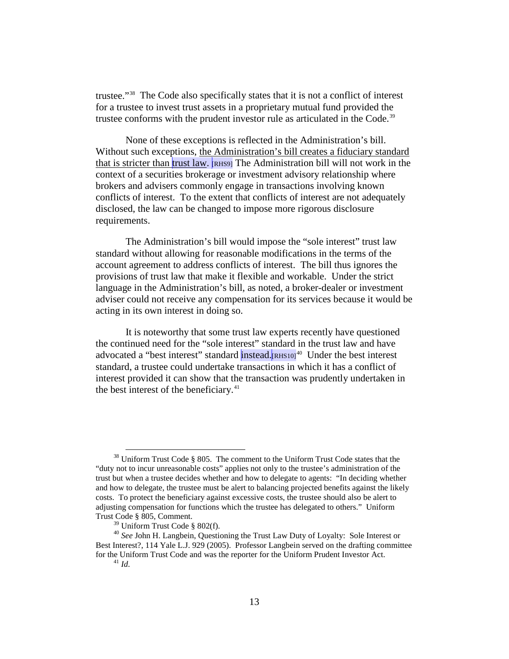trustee."[38](#page-15-0) The Code also specifically states that it is not a conflict of interest for a trustee to invest trust assets in a proprietary mutual fund provided the trustee conforms with the prudent investor rule as articulated in the Code.<sup>[39](#page-15-1)</sup>

None of these exceptions is reflected in the Administration's bill. Without such exceptions, the Administration's bill creates a fiduciary standard that is stricter than trust law. [RHS9] The Administration bill will not work in the context of a securities brokerage or investment advisory relationship where brokers and advisers commonly engage in transactions involving known conflicts of interest. To the extent that conflicts of interest are not adequately disclosed, the law can be changed to impose more rigorous disclosure requirements.

The Administration's bill would impose the "sole interest" trust law standard without allowing for reasonable modifications in the terms of the account agreement to address conflicts of interest. The bill thus ignores the provisions of trust law that make it flexible and workable. Under the strict language in the Administration's bill, as noted, a broker-dealer or investment adviser could not receive any compensation for its services because it would be acting in its own interest in doing so.

It is noteworthy that some trust law experts recently have questioned the continued need for the "sole interest" standard in the trust law and have advocated a "best interest" standard instead.<sup>[RHS10]<sup>[40](#page-15-2)</sup> Under the best interest</sup> standard, a trustee could undertake transactions in which it has a conflict of interest provided it can show that the transaction was prudently undertaken in the best interest of the beneficiary.<sup>[41](#page-15-3)</sup>

<span id="page-15-0"></span> $38$  Uniform Trust Code § 805. The comment to the Uniform Trust Code states that the "duty not to incur unreasonable costs" applies not only to the trustee's administration of the trust but when a trustee decides whether and how to delegate to agents: "In deciding whether and how to delegate, the trustee must be alert to balancing projected benefits against the likely costs. To protect the beneficiary against excessive costs, the trustee should also be alert to adjusting compensation for functions which the trustee has delegated to others." Uniform Trust Code § 805, Comment.<br><sup>39</sup> Uniform Trust Code § 802(f).

<span id="page-15-3"></span><span id="page-15-2"></span><span id="page-15-1"></span><sup>&</sup>lt;sup>40</sup> See John H. Langbein, Questioning the Trust Law Duty of Loyalty: Sole Interest or Best Interest?, 114 Yale L.J. 929 (2005). Professor Langbein served on the drafting committee for the Uniform Trust Code and was the reporter for the Uniform Prudent Investor Act. <sup>41</sup> *Id.*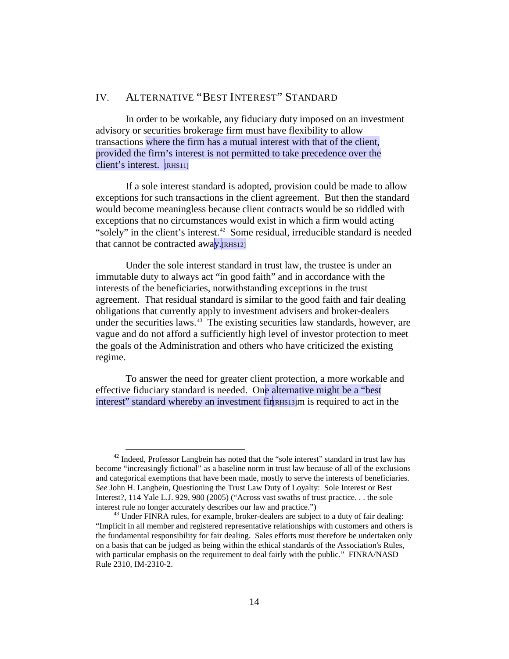# <span id="page-16-0"></span>IV. ALTERNATIVE "BEST INTEREST" STANDARD

In order to be workable, any fiduciary duty imposed on an investment advisory or securities brokerage firm must have flexibility to allow transactions where the firm has a mutual interest with that of the client, provided the firm's interest is not permitted to take precedence over the client's interest. [RHS11]

If a sole interest standard is adopted, provision could be made to allow exceptions for such transactions in the client agreement. But then the standard would become meaningless because client contracts would be so riddled with exceptions that no circumstances would exist in which a firm would acting "solely" in the client's interest.<sup>[42](#page-16-1)</sup> Some residual, irreducible standard is needed that cannot be contracted away. $R<sub>IRHS121</sub>$ 

Under the sole interest standard in trust law, the trustee is under an immutable duty to always act "in good faith" and in accordance with the interests of the beneficiaries, notwithstanding exceptions in the trust agreement. That residual standard is similar to the good faith and fair dealing obligations that currently apply to investment advisers and broker-dealers under the securities laws. [43](#page-16-2) The existing securities law standards, however, are vague and do not afford a sufficiently high level of investor protection to meet the goals of the Administration and others who have criticized the existing regime.

To answer the need for greater client protection, a more workable and effective fiduciary standard is needed. One alternative might be a "best interest" standard whereby an investment fir resignation is required to act in the

<span id="page-16-1"></span> $42$  Indeed, Professor Langbein has noted that the "sole interest" standard in trust law has become "increasingly fictional" as a baseline norm in trust law because of all of the exclusions and categorical exemptions that have been made, mostly to serve the interests of beneficiaries. *See* John H. Langbein, Questioning the Trust Law Duty of Loyalty: Sole Interest or Best Interest?, 114 Yale L.J. 929, 980 (2005) ("Across vast swaths of trust practice. . . the sole interest rule no longer accurately describes our law and practice.") 43 Under FINRA rules, for example, broker-dealers are subject to a duty of fair dealing:

<span id="page-16-2"></span><sup>&</sup>quot;Implicit in all member and registered representative relationships with customers and others is the fundamental responsibility for fair dealing. Sales efforts must therefore be undertaken only on a basis that can be judged as being within the ethical standards of the Association's Rules, with particular emphasis on the requirement to deal fairly with the public." FINRA/NASD Rule 2310, IM-2310-2.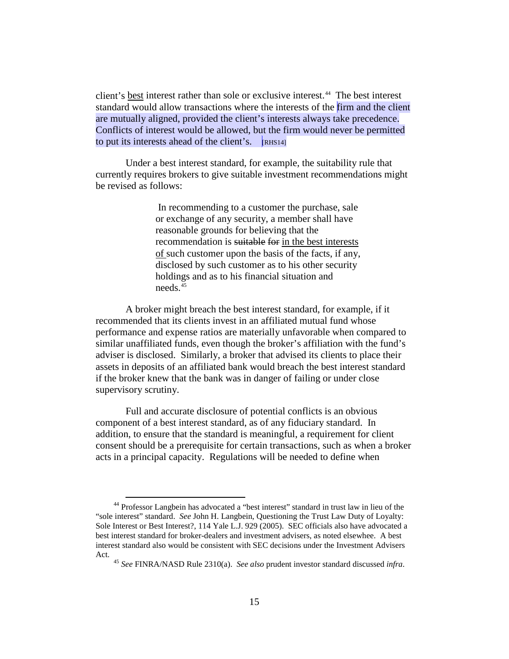client's best interest rather than sole or exclusive interest. [44](#page-17-0) The best interest standard would allow transactions where the interests of the firm and the client are mutually aligned, provided the client's interests always take precedence. Conflicts of interest would be allowed, but the firm would never be permitted to put its interests ahead of the client's.  $\overline{R}$ [RHS14]

Under a best interest standard, for example, the suitability rule that currently requires brokers to give suitable investment recommendations might be revised as follows:

> In recommending to a customer the purchase, sale or exchange of any security, a member shall have reasonable grounds for believing that the recommendation is suitable for in the best interests of such customer upon the basis of the facts, if any, disclosed by such customer as to his other security holdings and as to his financial situation and needs.<sup>[45](#page-17-1)</sup>

A broker might breach the best interest standard, for example, if it recommended that its clients invest in an affiliated mutual fund whose performance and expense ratios are materially unfavorable when compared to similar unaffiliated funds, even though the broker's affiliation with the fund's adviser is disclosed. Similarly, a broker that advised its clients to place their assets in deposits of an affiliated bank would breach the best interest standard if the broker knew that the bank was in danger of failing or under close supervisory scrutiny.

Full and accurate disclosure of potential conflicts is an obvious component of a best interest standard, as of any fiduciary standard. In addition, to ensure that the standard is meaningful, a requirement for client consent should be a prerequisite for certain transactions, such as when a broker acts in a principal capacity. Regulations will be needed to define when

<span id="page-17-1"></span><span id="page-17-0"></span><sup>&</sup>lt;sup>44</sup> Professor Langbein has advocated a "best interest" standard in trust law in lieu of the "sole interest" standard. *See* John H. Langbein, Questioning the Trust Law Duty of Loyalty: Sole Interest or Best Interest?, 114 Yale L.J. 929 (2005). SEC officials also have advocated a best interest standard for broker-dealers and investment advisers, as noted elsewhee. A best interest standard also would be consistent with SEC decisions under the Investment Advisers Act. 45 *See* FINRA/NASD Rule 2310(a). *See also* prudent investor standard discussed *infra*.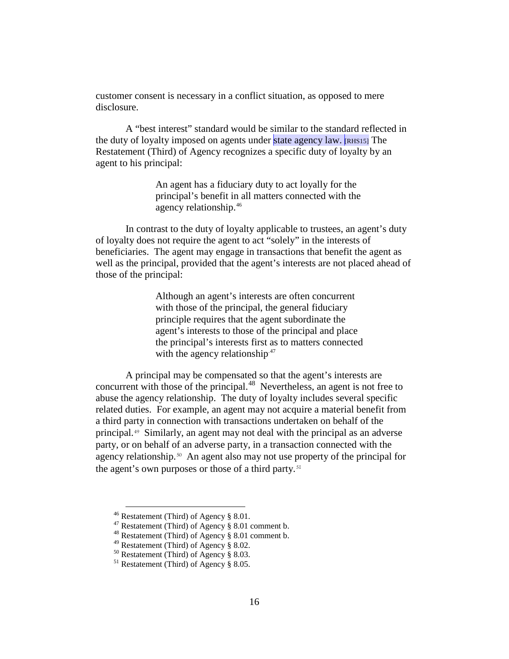customer consent is necessary in a conflict situation, as opposed to mere disclosure.

A "best interest" standard would be similar to the standard reflected in the duty of loyalty imposed on agents under state agency law. [RHS15] The Restatement (Third) of Agency recognizes a specific duty of loyalty by an agent to his principal:

> An agent has a fiduciary duty to act loyally for the principal's benefit in all matters connected with the agency relationship.[46](#page-18-0)

In contrast to the duty of loyalty applicable to trustees, an agent's duty of loyalty does not require the agent to act "solely" in the interests of beneficiaries. The agent may engage in transactions that benefit the agent as well as the principal, provided that the agent's interests are not placed ahead of those of the principal:

> Although an agent's interests are often concurrent with those of the principal, the general fiduciary principle requires that the agent subordinate the agent's interests to those of the principal and place the principal's interests first as to matters connected with the agency relationship. $47$

A principal may be compensated so that the agent's interests are concurrent with those of the principal.<sup>[48](#page-18-2)</sup> Nevertheless, an agent is not free to abuse the agency relationship. The duty of loyalty includes several specific related duties. For example, an agent may not acquire a material benefit from a third party in connection with transactions undertaken on behalf of the principal.[49](#page-18-3) Similarly, an agent may not deal with the principal as an adverse party, or on behalf of an adverse party, in a transaction connected with the agency relationship.<sup>[50](#page-18-4)</sup> An agent also may not use property of the principal for the agent's own purposes or those of a third party.[51](#page-18-5)

<span id="page-18-0"></span><sup>&</sup>lt;sup>46</sup> Restatement (Third) of Agency § 8.01.<br><sup>47</sup> Restatement (Third) of Agency § 8.01 comment b.<br><sup>48</sup> Restatement (Third) of Agency § 8.02.<br><sup>49</sup> Restatement (Third) of Agency § 8.02.

<span id="page-18-3"></span><span id="page-18-2"></span><span id="page-18-1"></span>

<span id="page-18-4"></span><sup>&</sup>lt;sup>50</sup> Restatement (Third) of Agency § 8.03.<br><sup>51</sup> Restatement (Third) of Agency § 8.05.

<span id="page-18-5"></span>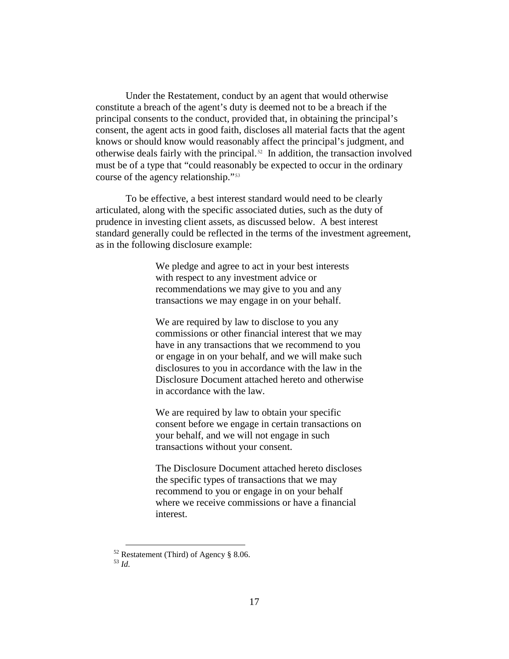Under the Restatement, conduct by an agent that would otherwise constitute a breach of the agent's duty is deemed not to be a breach if the principal consents to the conduct, provided that, in obtaining the principal's consent, the agent acts in good faith, discloses all material facts that the agent knows or should know would reasonably affect the principal's judgment, and otherwise deals fairly with the principal.[52](#page-19-0) In addition, the transaction involved must be of a type that "could reasonably be expected to occur in the ordinary course of the agency relationship."[53](#page-19-1)

To be effective, a best interest standard would need to be clearly articulated, along with the specific associated duties, such as the duty of prudence in investing client assets, as discussed below. A best interest standard generally could be reflected in the terms of the investment agreement, as in the following disclosure example:

> We pledge and agree to act in your best interests with respect to any investment advice or recommendations we may give to you and any transactions we may engage in on your behalf.

We are required by law to disclose to you any commissions or other financial interest that we may have in any transactions that we recommend to you or engage in on your behalf, and we will make such disclosures to you in accordance with the law in the Disclosure Document attached hereto and otherwise in accordance with the law.

We are required by law to obtain your specific consent before we engage in certain transactions on your behalf, and we will not engage in such transactions without your consent.

The Disclosure Document attached hereto discloses the specific types of transactions that we may recommend to you or engage in on your behalf where we receive commissions or have a financial interest.

<span id="page-19-1"></span><span id="page-19-0"></span><sup>52</sup> Restatement (Third) of Agency § 8.06. 53 *Id.*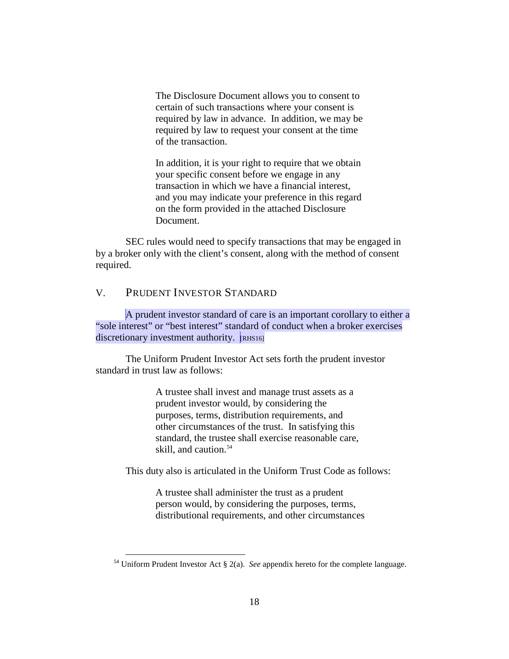The Disclosure Document allows you to consent to certain of such transactions where your consent is required by law in advance. In addition, we may be required by law to request your consent at the time of the transaction.

In addition, it is your right to require that we obtain your specific consent before we engage in any transaction in which we have a financial interest, and you may indicate your preference in this regard on the form provided in the attached Disclosure Document.

SEC rules would need to specify transactions that may be engaged in by a broker only with the client's consent, along with the method of consent required.

## <span id="page-20-0"></span>V. PRUDENT INVESTOR STANDARD

A prudent investor standard of care is an important corollary to either a "sole interest" or "best interest" standard of conduct when a broker exercises discretionary investment authority. [RHS16]

The Uniform Prudent Investor Act sets forth the prudent investor standard in trust law as follows:

> A trustee shall invest and manage trust assets as a prudent investor would, by considering the purposes, terms, distribution requirements, and other circumstances of the trust. In satisfying this standard, the trustee shall exercise reasonable care, skill, and caution.<sup>[54](#page-20-1)</sup>

This duty also is articulated in the Uniform Trust Code as follows:

A trustee shall administer the trust as a prudent person would, by considering the purposes, terms, distributional requirements, and other circumstances

<span id="page-20-1"></span> <sup>54</sup> Uniform Prudent Investor Act § 2(a). *See* appendix hereto for the complete language.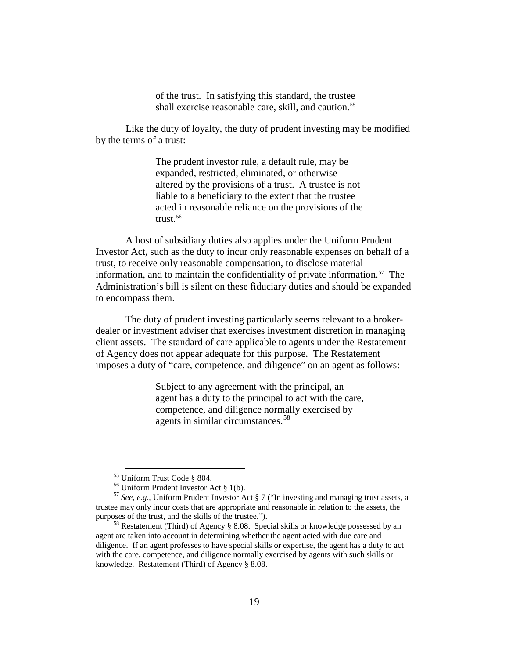of the trust. In satisfying this standard, the trustee shall exercise reasonable care, skill, and caution.<sup>[55](#page-21-0)</sup>

Like the duty of loyalty, the duty of prudent investing may be modified by the terms of a trust:

> The prudent investor rule, a default rule, may be expanded, restricted, eliminated, or otherwise altered by the provisions of a trust. A trustee is not liable to a beneficiary to the extent that the trustee acted in reasonable reliance on the provisions of the trust. $56$

A host of subsidiary duties also applies under the Uniform Prudent Investor Act, such as the duty to incur only reasonable expenses on behalf of a trust, to receive only reasonable compensation, to disclose material information, and to maintain the confidentiality of private information.<sup>[57](#page-21-2)</sup> The Administration's bill is silent on these fiduciary duties and should be expanded to encompass them.

The duty of prudent investing particularly seems relevant to a brokerdealer or investment adviser that exercises investment discretion in managing client assets. The standard of care applicable to agents under the Restatement of Agency does not appear adequate for this purpose. The Restatement imposes a duty of "care, competence, and diligence" on an agent as follows:

> Subject to any agreement with the principal, an agent has a duty to the principal to act with the care, competence, and diligence normally exercised by agents in similar circumstances.<sup>[58](#page-21-3)</sup>

 <sup>55</sup> Uniform Trust Code § 804.

<span id="page-21-2"></span><span id="page-21-1"></span><span id="page-21-0"></span><sup>&</sup>lt;sup>56</sup> Uniform Prudent Investor Act § 1(b).<br><sup>57</sup> *See, e.g.*, Uniform Prudent Investor Act § 7 ("In investing and managing trust assets, a trustee may only incur costs that are appropriate and reasonable in relation to the assets, the purposes of the trust, and the skills of the trustee.").<br><sup>58</sup> Restatement (Third) of Agency § 8.08. Special skills or knowledge possessed by an

<span id="page-21-3"></span>agent are taken into account in determining whether the agent acted with due care and diligence. If an agent professes to have special skills or expertise, the agent has a duty to act with the care, competence, and diligence normally exercised by agents with such skills or knowledge. Restatement (Third) of Agency § 8.08.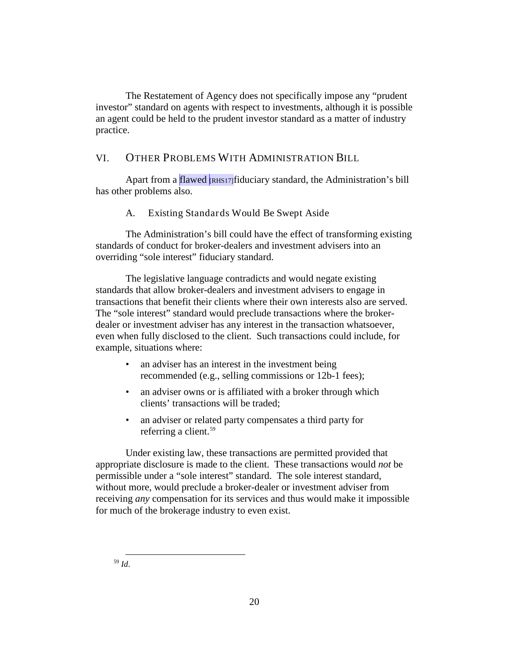The Restatement of Agency does not specifically impose any "prudent investor" standard on agents with respect to investments, although it is possible an agent could be held to the prudent investor standard as a matter of industry practice.

## <span id="page-22-0"></span>VI. OTHER PROBLEMS WITH ADMINISTRATION BILL

<span id="page-22-1"></span>Apart from a flawed  $\frac{RHS17}{H}$  fiduciary standard, the Administration's bill has other problems also.

A. Existing Standards Would Be Swept Aside

The Administration's bill could have the effect of transforming existing standards of conduct for broker-dealers and investment advisers into an overriding "sole interest" fiduciary standard.

The legislative language contradicts and would negate existing standards that allow broker-dealers and investment advisers to engage in transactions that benefit their clients where their own interests also are served. The "sole interest" standard would preclude transactions where the brokerdealer or investment adviser has any interest in the transaction whatsoever, even when fully disclosed to the client. Such transactions could include, for example, situations where:

- an adviser has an interest in the investment being recommended (e.g., selling commissions or 12b-1 fees);
- an adviser owns or is affiliated with a broker through which clients' transactions will be traded;
- an adviser or related party compensates a third party for referring a client.<sup>[59](#page-22-2)</sup>

Under existing law, these transactions are permitted provided that appropriate disclosure is made to the client. These transactions would *not* be permissible under a "sole interest" standard. The sole interest standard, without more, would preclude a broker-dealer or investment adviser from receiving *any* compensation for its services and thus would make it impossible for much of the brokerage industry to even exist.

<span id="page-22-2"></span>59 *Id*.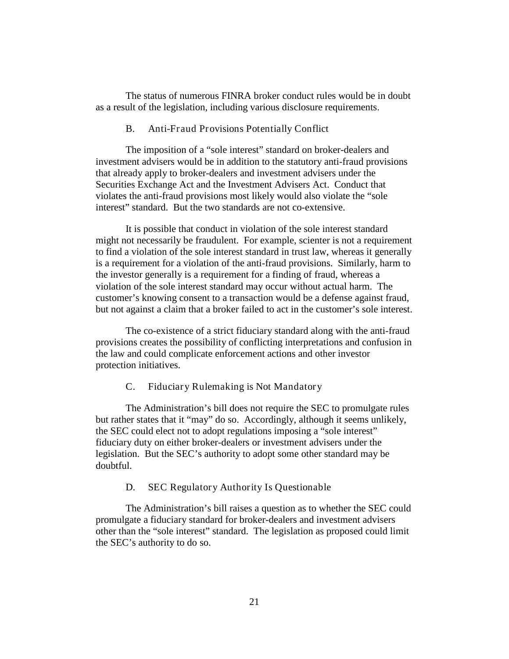<span id="page-23-0"></span>The status of numerous FINRA broker conduct rules would be in doubt as a result of the legislation, including various disclosure requirements.

#### B. Anti-Fraud Provisions Potentially Conflict

The imposition of a "sole interest" standard on broker-dealers and investment advisers would be in addition to the statutory anti-fraud provisions that already apply to broker-dealers and investment advisers under the Securities Exchange Act and the Investment Advisers Act. Conduct that violates the anti-fraud provisions most likely would also violate the "sole interest" standard. But the two standards are not co-extensive.

It is possible that conduct in violation of the sole interest standard might not necessarily be fraudulent. For example, scienter is not a requirement to find a violation of the sole interest standard in trust law, whereas it generally is a requirement for a violation of the anti-fraud provisions. Similarly, harm to the investor generally is a requirement for a finding of fraud, whereas a violation of the sole interest standard may occur without actual harm. The customer's knowing consent to a transaction would be a defense against fraud, but not against a claim that a broker failed to act in the customer's sole interest.

The co-existence of a strict fiduciary standard along with the anti-fraud provisions creates the possibility of conflicting interpretations and confusion in the law and could complicate enforcement actions and other investor protection initiatives.

#### <span id="page-23-1"></span>C. Fiduciary Rulemaking is Not Mandatory

The Administration's bill does not require the SEC to promulgate rules but rather states that it "may" do so. Accordingly, although it seems unlikely, the SEC could elect not to adopt regulations imposing a "sole interest" fiduciary duty on either broker-dealers or investment advisers under the legislation. But the SEC's authority to adopt some other standard may be doubtful.

#### <span id="page-23-2"></span>D. SEC Regulatory Authority Is Questionable

The Administration's bill raises a question as to whether the SEC could promulgate a fiduciary standard for broker-dealers and investment advisers other than the "sole interest" standard. The legislation as proposed could limit the SEC's authority to do so.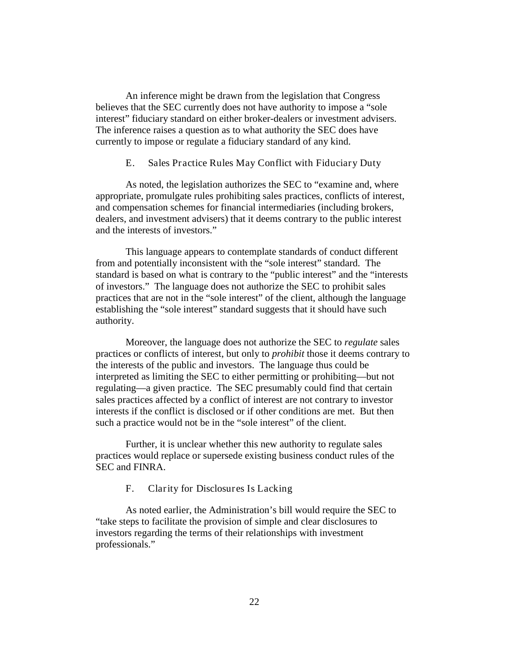An inference might be drawn from the legislation that Congress believes that the SEC currently does not have authority to impose a "sole interest" fiduciary standard on either broker-dealers or investment advisers. The inference raises a question as to what authority the SEC does have currently to impose or regulate a fiduciary standard of any kind.

#### <span id="page-24-0"></span>E. Sales Practice Rules May Conflict with Fiduciary Duty

As noted, the legislation authorizes the SEC to "examine and, where appropriate, promulgate rules prohibiting sales practices, conflicts of interest, and compensation schemes for financial intermediaries (including brokers, dealers, and investment advisers) that it deems contrary to the public interest and the interests of investors."

This language appears to contemplate standards of conduct different from and potentially inconsistent with the "sole interest" standard. The standard is based on what is contrary to the "public interest" and the "interests of investors." The language does not authorize the SEC to prohibit sales practices that are not in the "sole interest" of the client, although the language establishing the "sole interest" standard suggests that it should have such authority.

Moreover, the language does not authorize the SEC to *regulate* sales practices or conflicts of interest, but only to *prohibit* those it deems contrary to the interests of the public and investors. The language thus could be interpreted as limiting the SEC to either permitting or prohibiting—but not regulating—a given practice. The SEC presumably could find that certain sales practices affected by a conflict of interest are not contrary to investor interests if the conflict is disclosed or if other conditions are met. But then such a practice would not be in the "sole interest" of the client.

<span id="page-24-1"></span>Further, it is unclear whether this new authority to regulate sales practices would replace or supersede existing business conduct rules of the SEC and FINRA.

F. Clarity for Disclosures Is Lacking

As noted earlier, the Administration's bill would require the SEC to "take steps to facilitate the provision of simple and clear disclosures to investors regarding the terms of their relationships with investment professionals."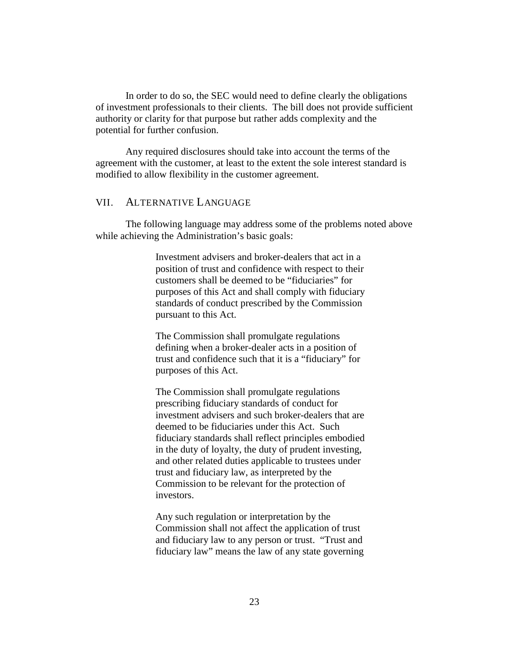In order to do so, the SEC would need to define clearly the obligations of investment professionals to their clients. The bill does not provide sufficient authority or clarity for that purpose but rather adds complexity and the potential for further confusion.

Any required disclosures should take into account the terms of the agreement with the customer, at least to the extent the sole interest standard is modified to allow flexibility in the customer agreement.

## <span id="page-25-0"></span>VII. ALTERNATIVE LANGUAGE

The following language may address some of the problems noted above while achieving the Administration's basic goals:

> Investment advisers and broker-dealers that act in a position of trust and confidence with respect to their customers shall be deemed to be "fiduciaries" for purposes of this Act and shall comply with fiduciary standards of conduct prescribed by the Commission pursuant to this Act.

The Commission shall promulgate regulations defining when a broker-dealer acts in a position of trust and confidence such that it is a "fiduciary" for purposes of this Act.

The Commission shall promulgate regulations prescribing fiduciary standards of conduct for investment advisers and such broker-dealers that are deemed to be fiduciaries under this Act. Such fiduciary standards shall reflect principles embodied in the duty of loyalty, the duty of prudent investing, and other related duties applicable to trustees under trust and fiduciary law, as interpreted by the Commission to be relevant for the protection of investors.

Any such regulation or interpretation by the Commission shall not affect the application of trust and fiduciary law to any person or trust. "Trust and fiduciary law" means the law of any state governing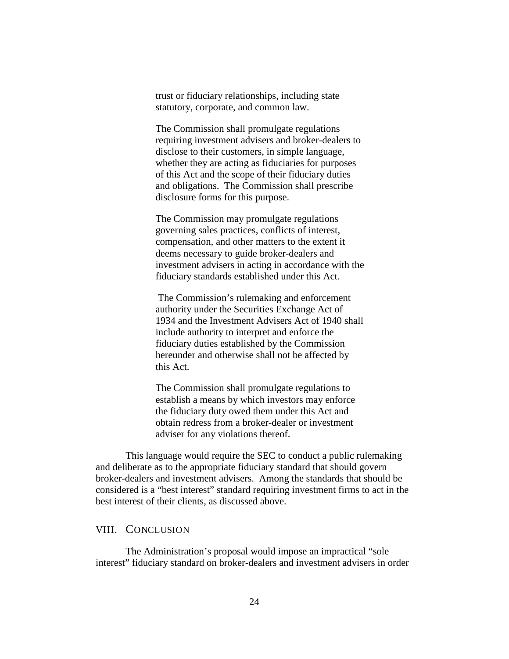trust or fiduciary relationships, including state statutory, corporate, and common law.

The Commission shall promulgate regulations requiring investment advisers and broker-dealers to disclose to their customers, in simple language, whether they are acting as fiduciaries for purposes of this Act and the scope of their fiduciary duties and obligations. The Commission shall prescribe disclosure forms for this purpose.

The Commission may promulgate regulations governing sales practices, conflicts of interest, compensation, and other matters to the extent it deems necessary to guide broker-dealers and investment advisers in acting in accordance with the fiduciary standards established under this Act.

The Commission's rulemaking and enforcement authority under the Securities Exchange Act of 1934 and the Investment Advisers Act of 1940 shall include authority to interpret and enforce the fiduciary duties established by the Commission hereunder and otherwise shall not be affected by this Act.

The Commission shall promulgate regulations to establish a means by which investors may enforce the fiduciary duty owed them under this Act and obtain redress from a broker-dealer or investment adviser for any violations thereof.

This language would require the SEC to conduct a public rulemaking and deliberate as to the appropriate fiduciary standard that should govern broker-dealers and investment advisers. Among the standards that should be considered is a "best interest" standard requiring investment firms to act in the best interest of their clients, as discussed above.

#### <span id="page-26-0"></span>VIII. CONCLUSION

The Administration's proposal would impose an impractical "sole interest" fiduciary standard on broker-dealers and investment advisers in order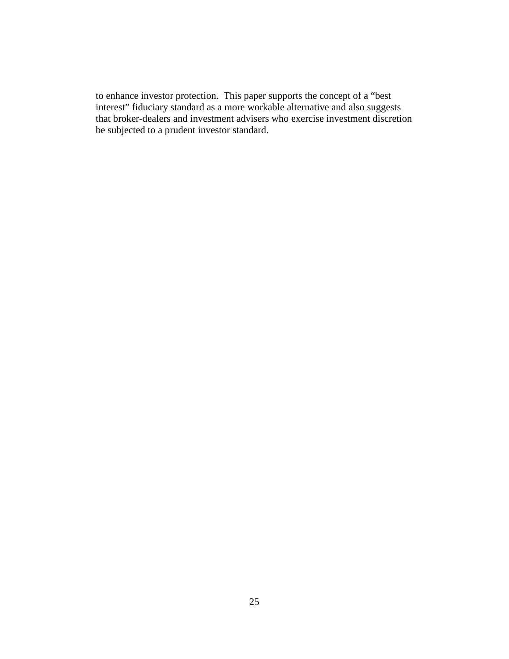to enhance investor protection. This paper supports the concept of a "best interest" fiduciary standard as a more workable alternative and also suggests that broker-dealers and investment advisers who exercise investment discretion be subjected to a prudent investor standard.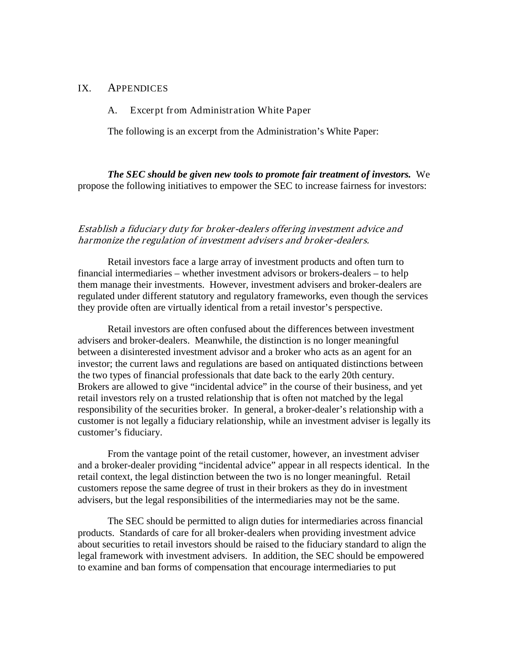## <span id="page-28-1"></span><span id="page-28-0"></span>IX. APPENDICES

A. Excerpt from Administration White Paper

The following is an excerpt from the Administration's White Paper:

*The SEC should be given new tools to promote fair treatment of investors.* We propose the following initiatives to empower the SEC to increase fairness for investors:

## Establish a fiduciary duty for broker-dealers offering investment advice and harmonize the regulation of investment advisers and broker-dealers.

Retail investors face a large array of investment products and often turn to financial intermediaries – whether investment advisors or brokers-dealers – to help them manage their investments. However, investment advisers and broker-dealers are regulated under different statutory and regulatory frameworks, even though the services they provide often are virtually identical from a retail investor's perspective.

Retail investors are often confused about the differences between investment advisers and broker-dealers. Meanwhile, the distinction is no longer meaningful between a disinterested investment advisor and a broker who acts as an agent for an investor; the current laws and regulations are based on antiquated distinctions between the two types of financial professionals that date back to the early 20th century. Brokers are allowed to give "incidental advice" in the course of their business, and yet retail investors rely on a trusted relationship that is often not matched by the legal responsibility of the securities broker. In general, a broker-dealer's relationship with a customer is not legally a fiduciary relationship, while an investment adviser is legally its customer's fiduciary.

From the vantage point of the retail customer, however, an investment adviser and a broker-dealer providing "incidental advice" appear in all respects identical. In the retail context, the legal distinction between the two is no longer meaningful. Retail customers repose the same degree of trust in their brokers as they do in investment advisers, but the legal responsibilities of the intermediaries may not be the same.

The SEC should be permitted to align duties for intermediaries across financial products. Standards of care for all broker-dealers when providing investment advice about securities to retail investors should be raised to the fiduciary standard to align the legal framework with investment advisers. In addition, the SEC should be empowered to examine and ban forms of compensation that encourage intermediaries to put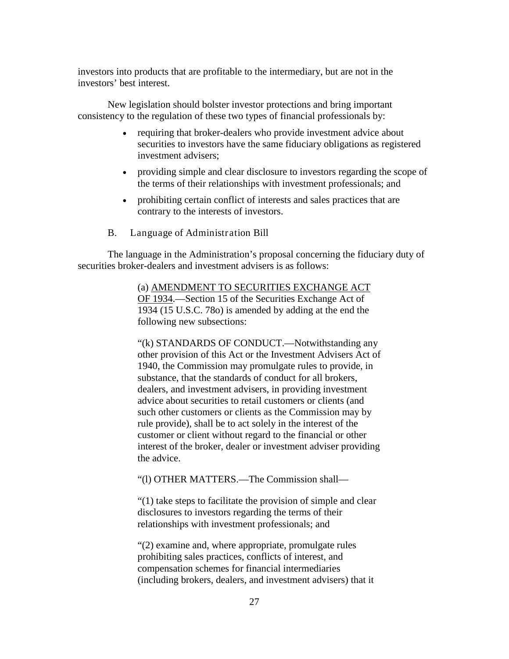investors into products that are profitable to the intermediary, but are not in the investors' best interest.

New legislation should bolster investor protections and bring important consistency to the regulation of these two types of financial professionals by:

- requiring that broker-dealers who provide investment advice about securities to investors have the same fiduciary obligations as registered investment advisers;
- providing simple and clear disclosure to investors regarding the scope of the terms of their relationships with investment professionals; and
- prohibiting certain conflict of interests and sales practices that are contrary to the interests of investors.
- B. Language of Administration Bill

<span id="page-29-0"></span>The language in the Administration's proposal concerning the fiduciary duty of securities broker-dealers and investment advisers is as follows:

> (a) AMENDMENT TO SECURITIES EXCHANGE ACT OF 1934. Section 15 of the Securities Exchange Act of 1934 (15 U.S.C. 78o) is amended by adding at the end the following new subsections:

"(k) STANDARDS OF CONDUCT.—Notwithstanding any other provision of this Act or the Investment Advisers Act of 1940, the Commission may promulgate rules to provide, in substance, that the standards of conduct for all brokers, dealers, and investment advisers, in providing investment advice about securities to retail customers or clients (and such other customers or clients as the Commission may by rule provide), shall be to act solely in the interest of the customer or client without regard to the financial or other interest of the broker, dealer or investment adviser providing the advice.

"(l) OTHER MATTERS.—The Commission shall—

"(1) take steps to facilitate the provision of simple and clear disclosures to investors regarding the terms of their relationships with investment professionals; and

"(2) examine and, where appropriate, promulgate rules prohibiting sales practices, conflicts of interest, and compensation schemes for financial intermediaries (including brokers, dealers, and investment advisers) that it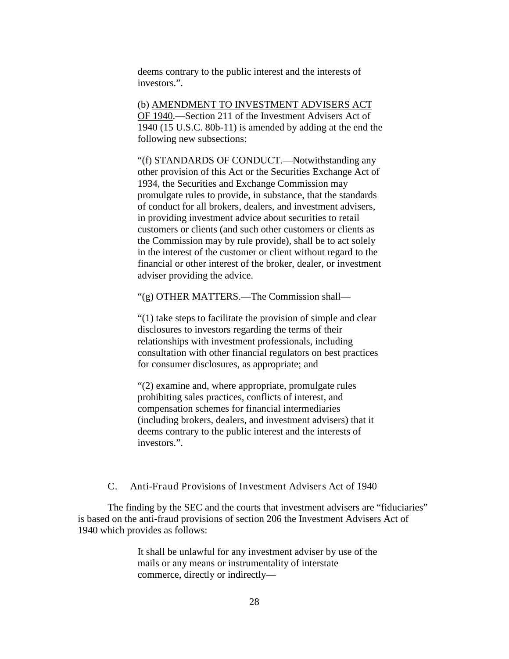deems contrary to the public interest and the interests of investors.".

(b) AMENDMENT TO INVESTMENT ADVISERS ACT OF 1940.—Section 211 of the Investment Advisers Act of 1940 (15 U.S.C. 80b-11) is amended by adding at the end the following new subsections:

"(f) STANDARDS OF CONDUCT.—Notwithstanding any other provision of this Act or the Securities Exchange Act of 1934, the Securities and Exchange Commission may promulgate rules to provide, in substance, that the standards of conduct for all brokers, dealers, and investment advisers, in providing investment advice about securities to retail customers or clients (and such other customers or clients as the Commission may by rule provide), shall be to act solely in the interest of the customer or client without regard to the financial or other interest of the broker, dealer, or investment adviser providing the advice.

"(g) OTHER MATTERS.—The Commission shall—

"(1) take steps to facilitate the provision of simple and clear disclosures to investors regarding the terms of their relationships with investment professionals, including consultation with other financial regulators on best practices for consumer disclosures, as appropriate; and

"(2) examine and, where appropriate, promulgate rules prohibiting sales practices, conflicts of interest, and compensation schemes for financial intermediaries (including brokers, dealers, and investment advisers) that it deems contrary to the public interest and the interests of investors.".

#### <span id="page-30-0"></span>C. Anti-Fraud Provisions of Investment Advisers Act of 1940

The finding by the SEC and the courts that investment advisers are "fiduciaries" is based on the anti-fraud provisions of section 206 the Investment Advisers Act of 1940 which provides as follows:

> It shall be unlawful for any investment adviser by use of the mails or any means or instrumentality of interstate commerce, directly or indirectly—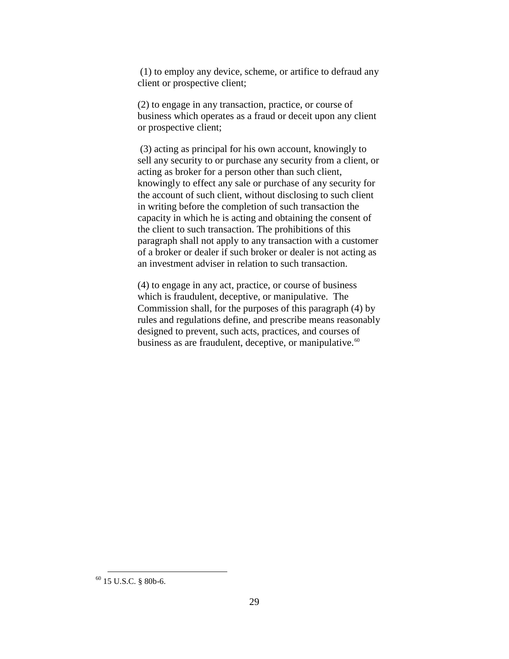(1) to employ any device, scheme, or artifice to defraud any client or prospective client;

(2) to engage in any transaction, practice, or course of business which operates as a fraud or deceit upon any client or prospective client;

(3) acting as principal for his own account, knowingly to sell any security to or purchase any security from a client, or acting as broker for a person other than such client, knowingly to effect any sale or purchase of any security for the account of such client, without disclosing to such client in writing before the completion of such transaction the capacity in which he is acting and obtaining the consent of the client to such transaction. The prohibitions of this paragraph shall not apply to any transaction with a customer of a broker or dealer if such broker or dealer is not acting as an investment adviser in relation to such transaction.

(4) to engage in any act, practice, or course of business which is fraudulent, deceptive, or manipulative. The Commission shall, for the purposes of this paragraph (4) by rules and regulations define, and prescribe means reasonably designed to prevent, such acts, practices, and courses of business as are fraudulent, deceptive, or manipulative.<sup>[60](#page-31-0)</sup>

<span id="page-31-0"></span> <sup>60</sup> 15 U.S.C. § 80b-6.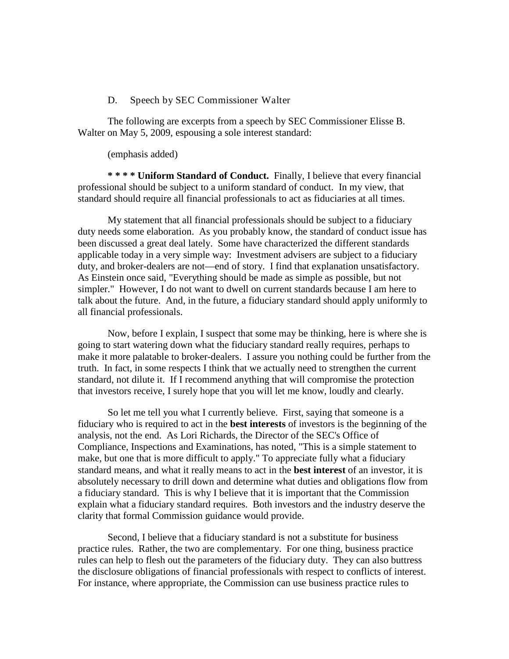#### D. Speech by SEC Commissioner Walter

<span id="page-32-0"></span>The following are excerpts from a speech by SEC Commissioner Elisse B. Walter on May 5, 2009, espousing a sole interest standard:

(emphasis added)

**\* \* \* \* Uniform Standard of Conduct.** Finally, I believe that every financial professional should be subject to a uniform standard of conduct. In my view, that standard should require all financial professionals to act as fiduciaries at all times.

My statement that all financial professionals should be subject to a fiduciary duty needs some elaboration. As you probably know, the standard of conduct issue has been discussed a great deal lately. Some have characterized the different standards applicable today in a very simple way: Investment advisers are subject to a fiduciary duty, and broker-dealers are not—end of story. I find that explanation unsatisfactory. As Einstein once said, "Everything should be made as simple as possible, but not simpler." However, I do not want to dwell on current standards because I am here to talk about the future. And, in the future, a fiduciary standard should apply uniformly to all financial professionals.

Now, before I explain, I suspect that some may be thinking, here is where she is going to start watering down what the fiduciary standard really requires, perhaps to make it more palatable to broker-dealers. I assure you nothing could be further from the truth. In fact, in some respects I think that we actually need to strengthen the current standard, not dilute it. If I recommend anything that will compromise the protection that investors receive, I surely hope that you will let me know, loudly and clearly.

So let me tell you what I currently believe. First, saying that someone is a fiduciary who is required to act in the **best interests** of investors is the beginning of the analysis, not the end. As Lori Richards, the Director of the SEC's Office of Compliance, Inspections and Examinations, has noted, "This is a simple statement to make, but one that is more difficult to apply." To appreciate fully what a fiduciary standard means, and what it really means to act in the **best interest** of an investor, it is absolutely necessary to drill down and determine what duties and obligations flow from a fiduciary standard. This is why I believe that it is important that the Commission explain what a fiduciary standard requires. Both investors and the industry deserve the clarity that formal Commission guidance would provide.

Second, I believe that a fiduciary standard is not a substitute for business practice rules. Rather, the two are complementary. For one thing, business practice rules can help to flesh out the parameters of the fiduciary duty. They can also buttress the disclosure obligations of financial professionals with respect to conflicts of interest. For instance, where appropriate, the Commission can use business practice rules to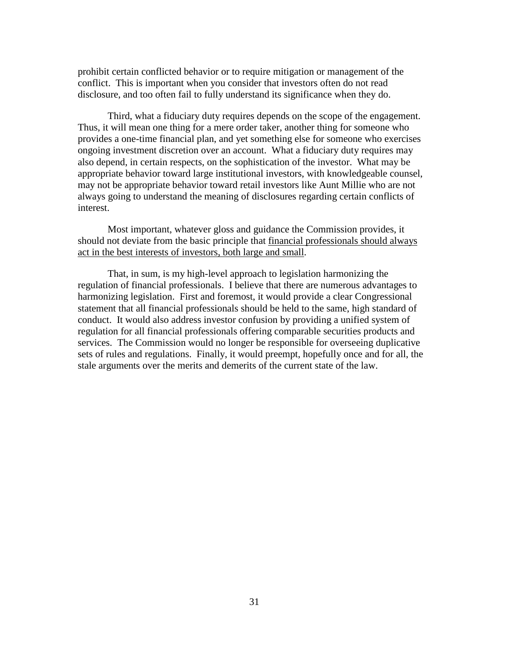prohibit certain conflicted behavior or to require mitigation or management of the conflict. This is important when you consider that investors often do not read disclosure, and too often fail to fully understand its significance when they do.

Third, what a fiduciary duty requires depends on the scope of the engagement. Thus, it will mean one thing for a mere order taker, another thing for someone who provides a one-time financial plan, and yet something else for someone who exercises ongoing investment discretion over an account. What a fiduciary duty requires may also depend, in certain respects, on the sophistication of the investor. What may be appropriate behavior toward large institutional investors, with knowledgeable counsel, may not be appropriate behavior toward retail investors like Aunt Millie who are not always going to understand the meaning of disclosures regarding certain conflicts of interest.

Most important, whatever gloss and guidance the Commission provides, it should not deviate from the basic principle that financial professionals should always act in the best interests of investors, both large and small .

That, in sum, is my high-level approach to legislation harmonizing the regulation of financial professionals. I believe that there are numerous advantages to harmonizing legislation. First and foremost, it would provide a clear Congressional statement that all financial professionals should be held to the same, high standard of conduct. It would also address investor confusion by providing a unified system of regulation for all financial professionals offering comparable securities products and services. The Commission would no longer be responsible for overseeing duplicative sets of rules and regulations. Finally, it would preempt, hopefully once and for all, the stale arguments over the merits and demerits of the current state of the law.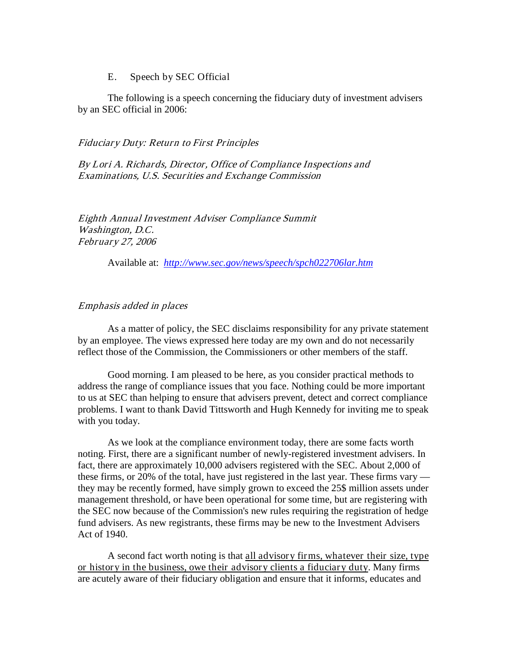#### E. Speech by SEC Official

<span id="page-34-0"></span>The following is a speech concerning the fiduciary duty of investment advisers by an SEC official in 2006:

#### Fiduciary Duty: Return to First Principles

By Lori A. Richards, Director, Office of Compliance Inspections and Examinations, U.S. Securities and Exchange Commission

Eighth Annual Investment Adviser Compliance Summit Washington, D.C. February 27, 2006

Available at: *<http://www.sec.gov/news/speech/spch022706lar.htm>*

#### Emphasis added in places

As a matter of policy, the SEC disclaims responsibility for any private statement by an employee. The views expressed here today are my own and do not necessarily reflect those of the Commission, the Commissioners or other members of the staff.

Good morning. I am pleased to be here, as you consider practical methods to address the range of compliance issues that you face. Nothing could be more important to us at SEC than helping to ensure that advisers prevent, detect and correct compliance problems. I want to thank David Tittsworth and Hugh Kennedy for inviting me to speak with you today.

As we look at the compliance environment today, there are some facts worth noting. First, there are a significant number of newly-registered investment advisers. In fact, there are approximately 10,000 advisers registered with the SEC. About 2,000 of these firms, or 20% of the total, have just registered in the last year. These firms vary they may be recently formed, have simply grown to exceed the 25\$ million assets under management threshold, or have been operational for some time, but are registering with the SEC now because of the Commission's new rules requiring the registration of hedge fund advisers. As new registrants, these firms may be new to the Investment Advisers Act of 1940.

A second fact worth noting is that all advisory firms, whatever their size, type or history in the business, owe their advisory clients a fiduciary duty. Many firms are acutely aware of their fiduciary obligation and ensure that it informs, educates and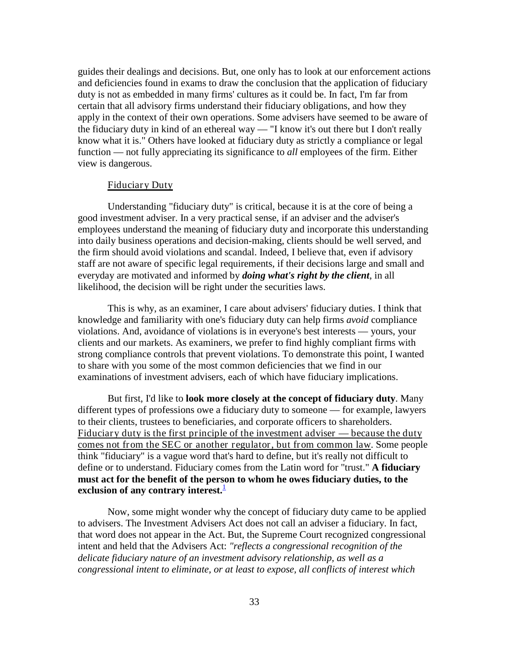guides their dealings and decisions. But, one only has to look at our enforcement actions and deficiencies found in exams to draw the conclusion that the application of fiduciary duty is not as embedded in many firms' cultures as it could be. In fact, I'm far from certain that all advisory firms understand their fiduciary obligations, and how they apply in the context of their own operations. Some advisers have seemed to be aware of the fiduciary duty in kind of an ethereal way — "I know it's out there but I don't really know what it is." Others have looked at fiduciary duty as strictly a compliance or legal function — not fully appreciating its significance to *all* employees of the firm. Either view is dangerous.

#### Fiduciary Duty

Understanding "fiduciary duty" is critical, because it is at the core of being a good investment adviser. In a very practical sense, if an adviser and the adviser's employees understand the meaning of fiduciary duty and incorporate this understanding into daily business operations and decision-making, clients should be well served, and the firm should avoid violations and scandal. Indeed, I believe that, even if advisory staff are not aware of specific legal requirements, if their decisions large and small and everyday are motivated and informed by *doing what's right by the client*, in all likelihood, the decision will be right under the securities laws.

This is why, as an examiner, I care about advisers' fiduciary duties. I think that knowledge and familiarity with one's fiduciary duty can help firms *avoid* compliance violations. And, avoidance of violations is in everyone's best interests — yours, your clients and our markets. As examiners, we prefer to find highly compliant firms with strong compliance controls that prevent violations. To demonstrate this point, I wanted to share with you some of the most common deficiencies that we find in our examinations of investment advisers, each of which have fiduciary implications.

But first, I'd like to **look more closely at the concept of fiduciary duty**. Many different types of professions owe a fiduciary duty to someone — for example, lawyers to their clients, trustees to beneficiaries, and corporate officers to shareholders. Fiduciary duty is the first principle of the investment adviser — because the duty comes not from the SEC or another regulator, but from common law . Some people exclusion of any contrary interest.<sup>[1](http://www.sec.gov/news/speech/spch022706lar.htm#foot1#foot1)</sup> think "fiduciary" is a vague word that's hard to define, but it's really not difficult to define or to understand. Fiduciary comes from the Latin word for "trust." **A fiduciary must act for the benefit of the person to whom he owes fiduciary duties, to the** 

Now, some might wonder why the concept of fiduciary duty came to be applied to advisers. The Investment Advisers Act does not call an adviser a fiduciary. In fact, that word does not appear in the Act. But, the Supreme Court recognized congressional intent and held that the Advisers Act: *"reflects a congressional recognition of the delicate fiduciary nature of an investment advisory relationship, as well as a congressional intent to eliminate, or at least to expose, all conflicts of interest which*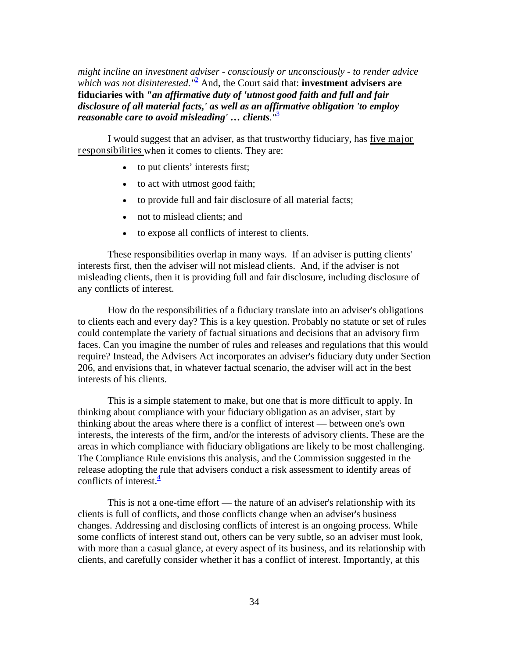*might incline an investment adviser - consciously or unconsciously - to render advice which was not disinterested.*<sup> $n^2$ </sup> And, the Court said that: **investment advisers are fiduciaries with** *"an affirmative duty of 'utmost good faith and full and fair disclosure of all material facts,' as well as an affirmative obligation 'to employ reasonable care to avoid misleading' … clients."*[3](http://www.sec.gov/news/speech/spch022706lar.htm#foot3#foot3)

I would suggest that an adviser, as that trustworthy fiduciary, has five major responsibilities when it comes to clients. They are:

- to put clients' interests first;
- to act with utmost good faith;
- to provide full and fair disclosure of all material facts;
- not to mislead clients; and
- to expose all conflicts of interest to clients.

These responsibilities overlap in many ways. If an adviser is putting clients' interests first, then the adviser will not mislead clients. And, if the adviser is not misleading clients, then it is providing full and fair disclosure, including disclosure of any conflicts of interest.

How do the responsibilities of a fiduciary translate into an adviser's obligations to clients each and every day? This is a key question. Probably no statute or set of rules could contemplate the variety of factual situations and decisions that an advisory firm faces. Can you imagine the number of rules and releases and regulations that this would require? Instead, the Advisers Act incorporates an adviser's fiduciary duty under Section 206, and envisions that, in whatever factual scenario, the adviser will act in the best interests of his clients.

This is a simple statement to make, but one that is more difficult to apply. In thinking about compliance with your fiduciary obligation as an adviser, start by thinking about the areas where there is a conflict of interest — between one's own interests, the interests of the firm, and/or the interests of advisory clients. These are the areas in which compliance with fiduciary obligations are likely to be most challenging. The Compliance Rule envisions this analysis, and the Commission suggested in the release adopting the rule that advisers conduct a risk assessment to identify areas of conflicts of interest. $\frac{4}{3}$  $\frac{4}{3}$  $\frac{4}{3}$ 

This is not a one-time effort — the nature of an adviser's relationship with its clients is full of conflicts, and those conflicts change when an adviser's business changes. Addressing and disclosing conflicts of interest is an ongoing process. While some conflicts of interest stand out, others can be very subtle, so an adviser must look, with more than a casual glance, at every aspect of its business, and its relationship with clients, and carefully consider whether it has a conflict of interest. Importantly, at this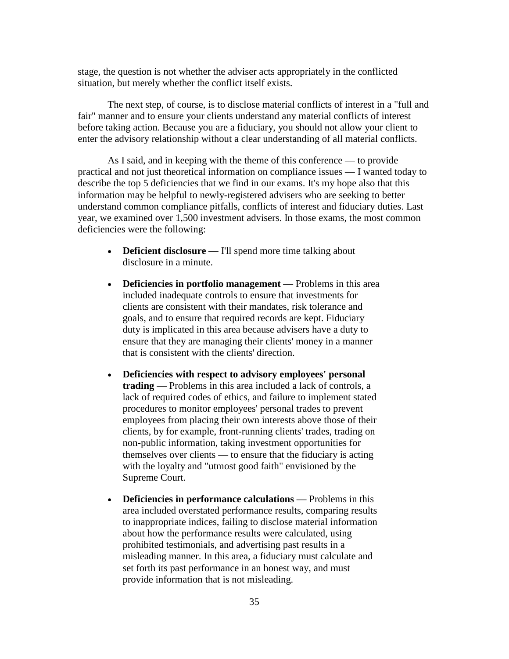stage, the question is not whether the adviser acts appropriately in the conflicted situation, but merely whether the conflict itself exists.

The next step, of course, is to disclose material conflicts of interest in a "full and fair" manner and to ensure your clients understand any material conflicts of interest before taking action. Because you are a fiduciary, you should not allow your client to enter the advisory relationship without a clear understanding of all material conflicts.

As I said, and in keeping with the theme of this conference — to provide practical and not just theoretical information on compliance issues — I wanted today to describe the top 5 deficiencies that we find in our exams. It's my hope also that this information may be helpful to newly-registered advisers who are seeking to better understand common compliance pitfalls, conflicts of interest and fiduciary duties. Last year, we examined over 1,500 investment advisers. In those exams, the most common deficiencies were the following:

- **Deficient disclosure** I'll spend more time talking about disclosure in a minute.
- **Deficiencies in portfolio management** Problems in this area included inadequate controls to ensure that investments for clients are consistent with their mandates, risk tolerance and goals, and to ensure that required records are kept. Fiduciary duty is implicated in this area because advisers have a duty to ensure that they are managing their clients' money in a manner that is consistent with the clients' direction.
- **Deficiencies with respect to advisory employees' personal trading** — Problems in this area included a lack of controls, a lack of required codes of ethics, and failure to implement stated procedures to monitor employees' personal trades to prevent employees from placing their own interests above those of their clients, by for example, front-running clients' trades, trading on non-public information, taking investment opportunities for themselves over clients — to ensure that the fiduciary is acting with the loyalty and "utmost good faith" envisioned by the Supreme Court.
- **Deficiencies in performance calculations** Problems in this area included overstated performance results, comparing results to inappropriate indices, failing to disclose material information about how the performance results were calculated, using prohibited testimonials, and advertising past results in a misleading manner. In this area, a fiduciary must calculate and set forth its past performance in an honest way, and must provide information that is not misleading.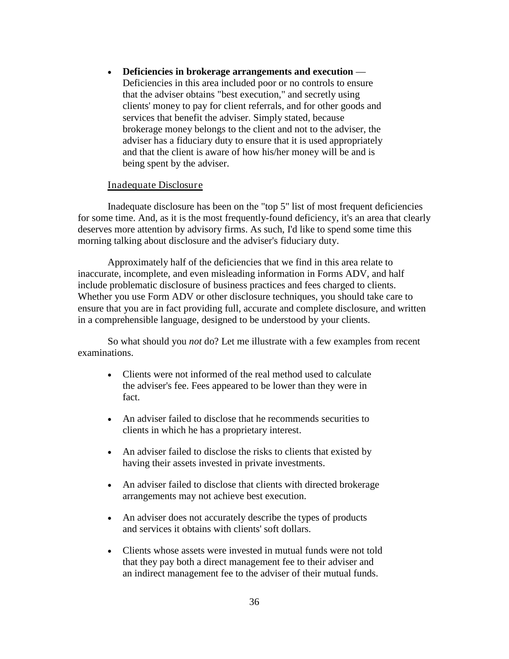• **Deficiencies in brokerage arrangements and execution** — Deficiencies in this area included poor or no controls to ensure that the adviser obtains "best execution," and secretly using clients' money to pay for client referrals, and for other goods and services that benefit the adviser. Simply stated, because brokerage money belongs to the client and not to the adviser, the adviser has a fiduciary duty to ensure that it is used appropriately and that the client is aware of how his/her money will be and is being spent by the adviser.

#### Inadequate Disclosure

Inadequate disclosure has been on the "top 5" list of most frequent deficiencies for some time. And, as it is the most frequently-found deficiency, it's an area that clearly deserves more attention by advisory firms. As such, I'd like to spend some time this morning talking about disclosure and the adviser's fiduciary duty.

Approximately half of the deficiencies that we find in this area relate to inaccurate, incomplete, and even misleading information in Forms ADV, and half include problematic disclosure of business practices and fees charged to clients. Whether you use Form ADV or other disclosure techniques, you should take care to ensure that you are in fact providing full, accurate and complete disclosure, and written in a comprehensible language, designed to be understood by your clients.

So what should you *not* do? Let me illustrate with a few examples from recent examinations.

- Clients were not informed of the real method used to calculate the adviser's fee. Fees appeared to be lower than they were in fact.
- An adviser failed to disclose that he recommends securities to clients in which he has a proprietary interest.
- An adviser failed to disclose the risks to clients that existed by having their assets invested in private investments.
- An adviser failed to disclose that clients with directed brokerage arrangements may not achieve best execution.
- An adviser does not accurately describe the types of products and services it obtains with clients' soft dollars.
- Clients whose assets were invested in mutual funds were not told that they pay both a direct management fee to their adviser and an indirect management fee to the adviser of their mutual funds.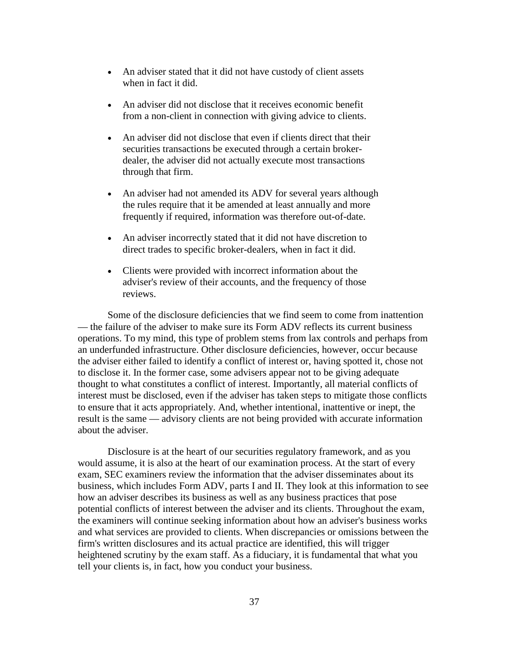- An adviser stated that it did not have custody of client assets when in fact it did.
- An adviser did not disclose that it receives economic benefit from a non-client in connection with giving advice to clients.
- An adviser did not disclose that even if clients direct that their securities transactions be executed through a certain brokerdealer, the adviser did not actually execute most transactions through that firm.
- An adviser had not amended its ADV for several years although the rules require that it be amended at least annually and more frequently if required, information was therefore out-of-date.
- An adviser incorrectly stated that it did not have discretion to direct trades to specific broker-dealers, when in fact it did.
- Clients were provided with incorrect information about the adviser's review of their accounts, and the frequency of those reviews.

Some of the disclosure deficiencies that we find seem to come from inattention — the failure of the adviser to make sure its Form ADV reflects its current business operations. To my mind, this type of problem stems from lax controls and perhaps from an underfunded infrastructure. Other disclosure deficiencies, however, occur because the adviser either failed to identify a conflict of interest or, having spotted it, chose not to disclose it. In the former case, some advisers appear not to be giving adequate thought to what constitutes a conflict of interest. Importantly, all material conflicts of interest must be disclosed, even if the adviser has taken steps to mitigate those conflicts to ensure that it acts appropriately. And, whether intentional, inattentive or inept, the result is the same — advisory clients are not being provided with accurate information about the adviser.

Disclosure is at the heart of our securities regulatory framework, and as you would assume, it is also at the heart of our examination process. At the start of every exam, SEC examiners review the information that the adviser disseminates about its business, which includes Form ADV, parts I and II. They look at this information to see how an adviser describes its business as well as any business practices that pose potential conflicts of interest between the adviser and its clients. Throughout the exam, the examiners will continue seeking information about how an adviser's business works and what services are provided to clients. When discrepancies or omissions between the firm's written disclosures and its actual practice are identified, this will trigger heightened scrutiny by the exam staff. As a fiduciary, it is fundamental that what you tell your clients is, in fact, how you conduct your business.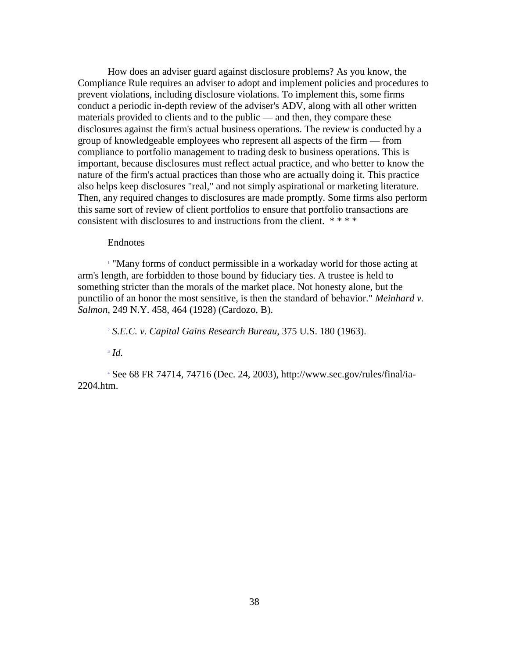How does an adviser guard against disclosure problems? As you know, the Compliance Rule requires an adviser to adopt and implement policies and procedures to prevent violations, including disclosure violations. To implement this, some firms conduct a periodic in-depth review of the adviser's ADV, along with all other written materials provided to clients and to the public — and then, they compare these disclosures against the firm's actual business operations. The review is conducted by a group of knowledgeable employees who represent all aspects of the firm — from compliance to portfolio management to trading desk to business operations. This is important, because disclosures must reflect actual practice, and who better to know the nature of the firm's actual practices than those who are actually doing it. This practice also helps keep disclosures "real," and not simply aspirational or marketing literature. Then, any required changes to disclosures are made promptly. Some firms also perform this same sort of review of client portfolios to ensure that portfolio transactions are consistent with disclosures to and instructions from the client. \* \* \* \*

#### Endnotes

[1](http://www.sec.gov/news/speech/spch022706lar.htm#1#1) "Many forms of conduct permissible in a workaday world for those acting at arm's length, are forbidden to those bound by fiduciary ties. A trustee is held to something stricter than the morals of the market place. Not honesty alone, but the punctilio of an honor the most sensitive, is then the standard of behavior." *Meinhard v. Salmon*, 249 N.Y. 458, 464 (1928) (Cardozo, B).

[2](http://www.sec.gov/news/speech/spch022706lar.htm#2#2) *S.E.C. v. Capital Gains Research Bureau*, 375 U.S. 180 (1963).

[3](http://www.sec.gov/news/speech/spch022706lar.htm#3#3) *Id.*

[4](http://www.sec.gov/news/speech/spch022706lar.htm#4#4) See 68 FR 74714, 74716 (Dec. 24, 2003), [http://www.sec.gov/rules/final/ia-](http://www.sec.gov/rules/final/ia-2204.htm)[2204.htm.](http://www.sec.gov/rules/final/ia-2204.htm)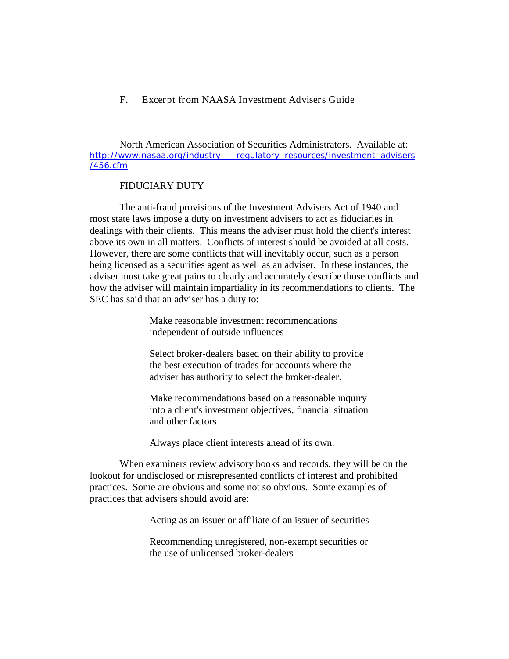#### <span id="page-41-0"></span>F. Excerpt from NAASA Investment Advisers Guide

North American Association of Securities Administrators. Available at: [http://www.nasaa.org/industry\\_\\_\\_regulatory\\_resources/investment\\_advisers](http://www.nasaa.org/industry___regulatory_resources/investment_advisers/456.cfm) [/456.cfm](http://www.nasaa.org/industry___regulatory_resources/investment_advisers/456.cfm)

#### FIDUCIARY DUTY

The anti-fraud provisions of the Investment Advisers Act of 1940 and most state laws impose a duty on investment advisers to act as fiduciaries in dealings with their clients. This means the adviser must hold the client's interest above its own in all matters. Conflicts of interest should be avoided at all costs. However, there are some conflicts that will inevitably occur, such as a person being licensed as a securities agent as well as an adviser. In these instances, the adviser must take great pains to clearly and accurately describe those conflicts and how the adviser will maintain impartiality in its recommendations to clients. The SEC has said that an adviser has a duty to:

> Make reasonable investment recommendations independent of outside influences

Select broker-dealers based on their ability to provide the best execution of trades for accounts where the adviser has authority to select the broker-dealer.

Make recommendations based on a reasonable inquiry into a client's investment objectives, financial situation and other factors

Always place client interests ahead of its own.

When examiners review advisory books and records, they will be on the lookout for undisclosed or misrepresented conflicts of interest and prohibited practices. Some are obvious and some not so obvious. Some examples of practices that advisers should avoid are:

Acting as an issuer or affiliate of an issuer of securities

Recommending unregistered, non-exempt securities or the use of unlicensed broker-dealers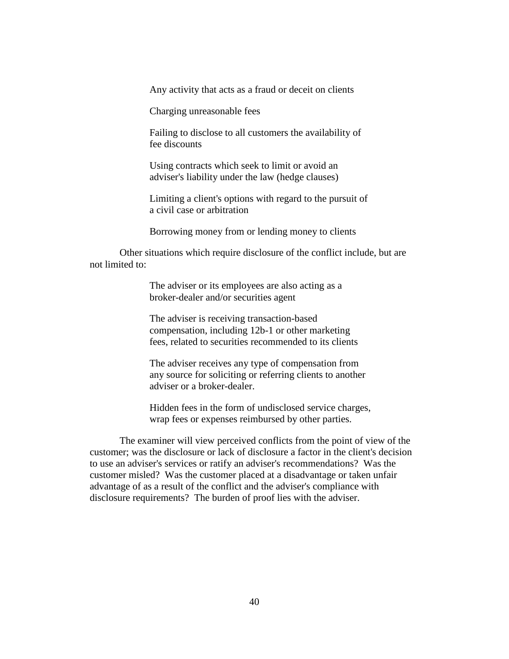Any activity that acts as a fraud or deceit on clients

Charging unreasonable fees

Failing to disclose to all customers the availability of fee discounts

Using contracts which seek to limit or avoid an adviser's liability under the law (hedge clauses)

Limiting a client's options with regard to the pursuit of a civil case or arbitration

Borrowing money from or lending money to clients

Other situations which require disclosure of the conflict include, but are not limited to:

> The adviser or its employees are also acting as a broker-dealer and/or securities agent

The adviser is receiving transaction-based compensation, including 12b-1 or other marketing fees, related to securities recommended to its clients

The adviser receives any type of compensation from any source for soliciting or referring clients to another adviser or a broker-dealer.

Hidden fees in the form of undisclosed service charges, wrap fees or expenses reimbursed by other parties.

The examiner will view perceived conflicts from the point of view of the customer; was the disclosure or lack of disclosure a factor in the client's decision to use an adviser's services or ratify an adviser's recommendations? Was the customer misled? Was the customer placed at a disadvantage or taken unfair advantage of as a result of the conflict and the adviser's compliance with disclosure requirements? The burden of proof lies with the adviser.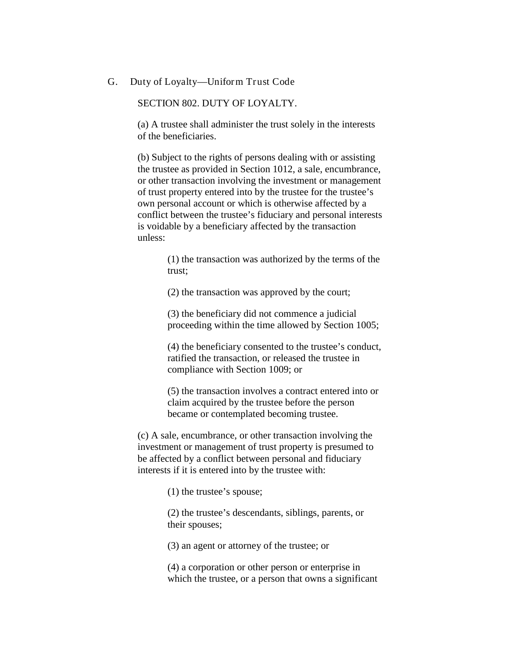#### <span id="page-43-0"></span>G. Duty of Loyalty—Uniform Trust Code

## SECTION 802. DUTY OF LOYALTY.

(a) A trustee shall administer the trust solely in the interests of the beneficiaries.

(b) Subject to the rights of persons dealing with or assisting the trustee as provided in Section 1012, a sale, encumbrance, or other transaction involving the investment or management of trust property entered into by the trustee for the trustee's own personal account or which is otherwise affected by a conflict between the trustee's fiduciary and personal interests is voidable by a beneficiary affected by the transaction unless:

> (1) the transaction was authorized by the terms of the trust;

(2) the transaction was approved by the court;

(3) the beneficiary did not commence a judicial proceeding within the time allowed by Section 1005;

(4) the beneficiary consented to the trustee's conduct, ratified the transaction, or released the trustee in compliance with Section 1009; or

(5) the transaction involves a contract entered into or claim acquired by the trustee before the person became or contemplated becoming trustee.

(c) A sale, encumbrance, or other transaction involving the investment or management of trust property is presumed to be affected by a conflict between personal and fiduciary interests if it is entered into by the trustee with:

(1) the trustee's spouse;

(2) the trustee's descendants, siblings, parents, or their spouses;

(3) an agent or attorney of the trustee; or

(4) a corporation or other person or enterprise in which the trustee, or a person that owns a significant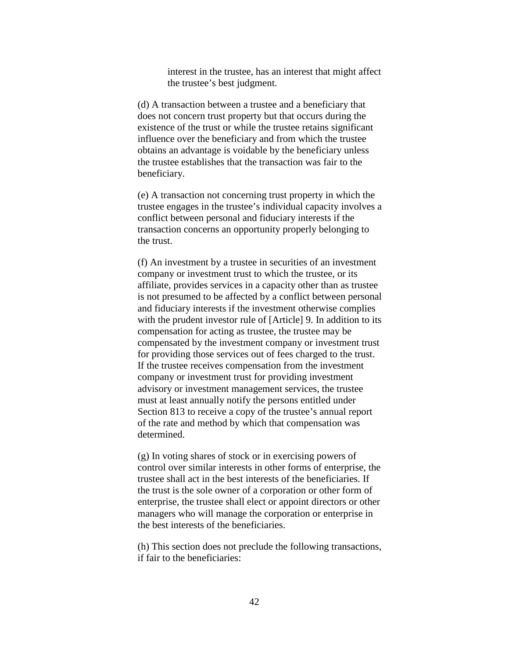interest in the trustee, has an interest that might affect the trustee's best judgment.

(d) A transaction between a trustee and a beneficiary that does not concern trust property but that occurs during the existence of the trust or while the trustee retains significant influence over the beneficiary and from which the trustee obtains an advantage is voidable by the beneficiary unless the trustee establishes that the transaction was fair to the beneficiary.

(e) A transaction not concerning trust property in which the trustee engages in the trustee's individual capacity involves a conflict between personal and fiduciary interests if the transaction concerns an opportunity properly belonging to the trust.

(f) An investment by a trustee in securities of an investment company or investment trust to which the trustee, or its affiliate, provides services in a capacity other than as trustee is not presumed to be affected by a conflict between personal and fiduciary interests if the investment otherwise complies with the prudent investor rule of [Article] 9. In addition to its compensation for acting as trustee, the trustee may be compensated by the investment company or investment trust for providing those services out of fees charged to the trust. If the trustee receives compensation from the investment company or investment trust for providing investment advisory or investment management services, the trustee must at least annually notify the persons entitled under Section 813 to receive a copy of the trustee's annual report of the rate and method by which that compensation was determined.

(g) In voting shares of stock or in exercising powers of control over similar interests in other forms of enterprise, the trustee shall act in the best interests of the beneficiaries. If the trust is the sole owner of a corporation or other form of enterprise, the trustee shall elect or appoint directors or other managers who will manage the corporation or enterprise in the best interests of the beneficiaries.

(h) This section does not preclude the following transactions, if fair to the beneficiaries: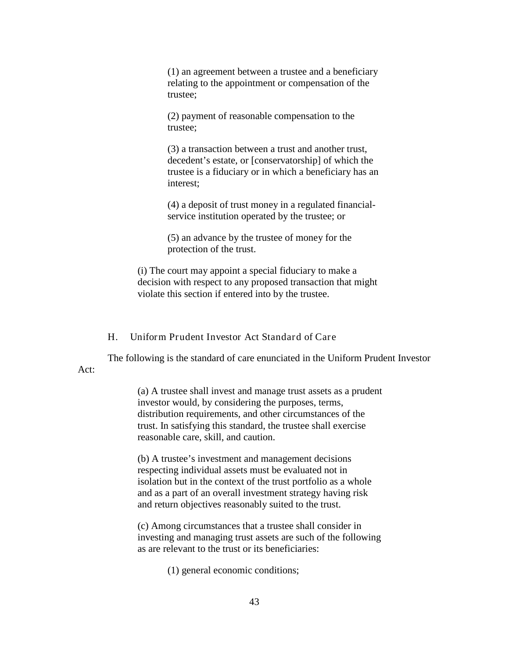(1) an agreement between a trustee and a beneficiary relating to the appointment or compensation of the trustee;

(2) payment of reasonable compensation to the trustee;

(3) a transaction between a trust and another trust, decedent's estate, or [conservatorship] of which the trustee is a fiduciary or in which a beneficiary has an interest;

(4) a deposit of trust money in a regulated financialservice institution operated by the trustee; or

(5) an advance by the trustee of money for the protection of the trust.

(i) The court may appoint a special fiduciary to make a decision with respect to any proposed transaction that might violate this section if entered into by the trustee.

H. Uniform Prudent Investor Act Standard of Care

<span id="page-45-0"></span>The following is the standard of care enunciated in the Uniform Prudent Investor Act:

(a) A trustee shall invest and manage trust assets as a prudent investor would, by considering the purposes, terms, distribution requirements, and other circumstances of the trust. In satisfying this standard, the trustee shall exercise reasonable care, skill, and caution.

(b) A trustee's investment and management decisions respecting individual assets must be evaluated not in isolation but in the context of the trust portfolio as a whole and as a part of an overall investment strategy having risk and return objectives reasonably suited to the trust.

(c) Among circumstances that a trustee shall consider in investing and managing trust assets are such of the following as are relevant to the trust or its beneficiaries:

(1) general economic conditions;